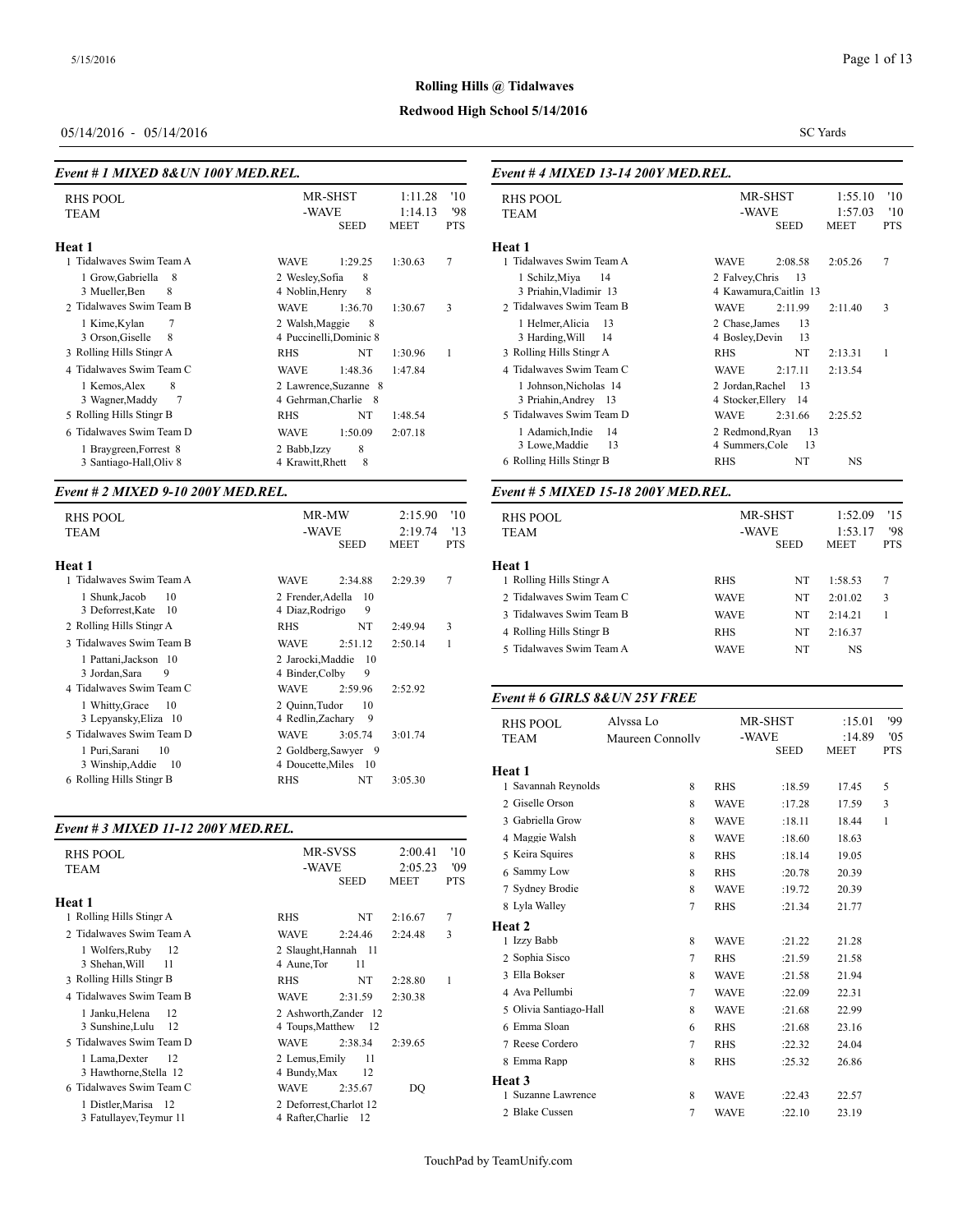SC Yards

#### **Rolling Hills @ Tidalwaves**

# **Redwood High School 5/14/2016**

# 05/14/2016 - 05/14/2016

#### *Event # 1 MIXED 8&UN 100Y MED.REL.*

| <b>RHS POOL</b><br><b>TEAM</b>                                                | MR-SHST<br>-WAVE<br><b>SEED</b>                                      | 1:11.28<br>1:14.13<br><b>MEET</b> | '10<br>'98<br><b>PTS</b> | <b>RHS POOL</b><br><b>TEAM</b>                         |
|-------------------------------------------------------------------------------|----------------------------------------------------------------------|-----------------------------------|--------------------------|--------------------------------------------------------|
| Heat 1                                                                        |                                                                      |                                   |                          | Heat 1                                                 |
| 1 Tidalwaves Swim Team A                                                      | 1:29.25<br><b>WAVE</b>                                               | 1:30.63                           | 7                        | 1 Tidalwaves Swi                                       |
| 1 Grow, Gabriella<br>-8<br>3 Mueller, Ben<br>8                                | 2 Wesley, Sofia<br>8<br>8<br>4 Noblin, Henry                         |                                   |                          | 1 Schilz, Miya<br>3 Priahin, Vlad                      |
| 2 Tidalwayes Swim Team B                                                      | <b>WAVE</b><br>1:36.70                                               | 1:30.67                           | 3                        | 2 Tidalwaves Swi                                       |
| 7<br>1 Kime, Kylan<br>3 Orson, Giselle<br>8                                   | 2 Walsh, Maggie<br>8<br>4 Puccinelli, Dominic 8                      |                                   |                          | 1 Helmer, Alici<br>3 Harding, Will                     |
| 3 Rolling Hills Stingr A                                                      | NT<br><b>RHS</b>                                                     | 1:30.96                           | 1                        | 3 Rolling Hills Sti                                    |
| 4 Tidalwayes Swim Team C                                                      | <b>WAVE</b><br>1:48.36                                               | 1:47.84                           |                          | 4 Tidalwaves Swi                                       |
| 8<br>1 Kemos, Alex<br>7<br>3 Wagner, Maddy                                    | 2 Lawrence, Suzanne 8<br>4 Gehrman, Charlie 8                        |                                   |                          | 1 Johnson, Nicl<br>3 Priahin, Andr                     |
| 5 Rolling Hills Stingr B                                                      | NT<br><b>RHS</b>                                                     | 1:48.54                           |                          | 5 Tidalwaves Swi                                       |
| 6 Tidalwaves Swim Team D<br>1 Braygreen, Forrest 8<br>3 Santiago-Hall, Oliv 8 | <b>WAVE</b><br>1:50.09<br>8<br>2 Babb, Izzy<br>8<br>4 Krawitt, Rhett | 2:07.18                           |                          | 1 Adamich, Ind<br>3 Lowe, Maddi<br>6 Rolling Hills Sti |

#### *Event # 2 MIXED 9-10 200Y MED.REL.*

| <b>RHS POOL</b><br><b>TEAM</b>                                                                                                                                                                  | MR-MW<br>-WAVE<br>SEED                                                                                                                                                      | '10<br>2:15.90<br>2:19.74<br>13<br><b>PTS</b><br><b>MEET</b> | RHS POOL<br><b>TEAM</b>                                                                                          |
|-------------------------------------------------------------------------------------------------------------------------------------------------------------------------------------------------|-----------------------------------------------------------------------------------------------------------------------------------------------------------------------------|--------------------------------------------------------------|------------------------------------------------------------------------------------------------------------------|
| Heat 1<br>1 Tidalwayes Swim Team A<br>1 Shunk, Jacob<br>10<br>3 Deforrest, Kate<br>- 10<br>2 Rolling Hills Stingr A<br>3 Tidalwayes Swim Team B<br>1 Pattani, Jackson 10<br>3 Jordan, Sara<br>9 | <b>WAVE</b><br>2:34.88<br>2 Frender, Adella<br>10<br>4 Diaz, Rodrigo<br>9<br>NT<br><b>RHS</b><br><b>WAVE</b><br>2:51.12<br>2 Jarocki, Maddie<br>-10<br>4 Binder, Colby<br>9 | 7<br>2:29.39<br>3<br>2:49.94<br>1<br>2:50.14                 | Heat 1<br>1 Rolling Hills Sti<br>2 Tidalwaves Swi<br>3 Tidalwaves Swi<br>4 Rolling Hills Sti<br>5 Tidalwaves Swi |
| 4 Tidalwayes Swim Team C<br>1 Whitty, Grace<br>-10                                                                                                                                              | <b>WAVE</b><br>2:59.96<br>2 Quinn, Tudor<br>10                                                                                                                              | 2:52.92                                                      | Event # 6 GIRL                                                                                                   |
| 3 Lepyansky, Eliza 10<br>5 Tidalwayes Swim Team D<br>1 Puri Sarani<br>10                                                                                                                        | 4 Redlin.Zacharv<br>- 9<br><b>WAVE</b><br>3:05.74<br>2 Goldberg, Sawyer 9                                                                                                   | 3:01.74                                                      | <b>RHS POOL</b><br><b>TEAM</b>                                                                                   |
| 3 Winship, Addie 10<br>6 Rolling Hills Stingr B                                                                                                                                                 | 4 Doucette, Miles 10<br>NT<br><b>RHS</b>                                                                                                                                    | 3:05.30                                                      | Heat 1<br>Savannah Reyno                                                                                         |

#### *Event # 3 MIXED 11-12 200Y MED.REL.*

|                                                                                                       |                                                                               |               |         |            | $\tau$ ividge to walk                        |
|-------------------------------------------------------------------------------------------------------|-------------------------------------------------------------------------------|---------------|---------|------------|----------------------------------------------|
| RHS POOL                                                                                              |                                                                               | MR-SVSS       | 2:00.41 | '10        | 5 Keira Squires                              |
| <b>TEAM</b>                                                                                           | -WAVE                                                                         |               | 2:05.23 | '09        | 6 Sammy Low                                  |
|                                                                                                       |                                                                               | SEED          | MEET    | <b>PTS</b> | 7 Sydney Brodie                              |
| Heat 1                                                                                                |                                                                               |               |         |            | 8 Lyla Walley                                |
| 1 Rolling Hills Stingr A                                                                              | <b>RHS</b>                                                                    | NT            | 2:16.67 | 7          | <b>Heat 2</b>                                |
| 2 Tidalwayes Swim Team A                                                                              | <b>WAVE</b>                                                                   | 2:24.46       | 2:24.48 | 3          | 1 Izzy Babb                                  |
| 1 Wolfers, Ruby<br>12<br>3 Shehan, Will<br>11                                                         | 2 Slaught, Hannah 11<br>4 Aune, Tor                                           | 11            |         |            | 2 Sophia Sisco                               |
| 3 Rolling Hills Stingr B                                                                              | <b>RHS</b>                                                                    | NT            | 2:28.80 | 1          | 3 Ella Bokser                                |
| 4 Tidalwayes Swim Team B                                                                              | <b>WAVE</b>                                                                   | 2:31.59       | 2:30.38 |            | 4 Ava Pellumbi                               |
| 1 Janku, Helena<br>12                                                                                 | 2 Ashworth.Zander 12                                                          |               |         |            | 5 Olivia Santiago-                           |
| 3 Sunshine, Lulu<br>-12                                                                               | 4 Toups, Matthew                                                              | - 12          |         |            | 6 Emma Sloan                                 |
| 5 Tidalwayes Swim Team D                                                                              | <b>WAVE</b>                                                                   | 2:38.34       | 2:39.65 |            | 7 Reese Cordero                              |
| 1 Lama, Dexter<br>12                                                                                  | 2 Lemus. Emily                                                                | 11            |         |            | 8 Emma Rapp                                  |
| 3 Hawthorne, Stella 12<br>6 Tidalwayes Swim Team C<br>1 Distler, Marisa 12<br>3 Fatullayev, Teymur 11 | 4 Bundy, Max<br><b>WAVE</b><br>2 Deforrest.Charlot 12<br>4 Rafter, Charlie 12 | 12<br>2:35.67 | DO      |            | Heat 3<br>1 Suzanne Lawrer<br>2 Blake Cussen |
|                                                                                                       |                                                                               |               |         |            |                                              |

# *Event # 4 MIXED 13-14 200Y MED.REL.*

| RHS POOL                 | MR-SHST<br>1:55.10                             | '10               |
|--------------------------|------------------------------------------------|-------------------|
| <b>TEAM</b>              | -WAVE<br>1:57.03<br><b>MEET</b><br><b>SEED</b> | '10<br><b>PTS</b> |
|                          |                                                |                   |
| Heat 1                   |                                                |                   |
| 1 Tidalwaves Swim Team A | <b>WAVE</b><br>2:08.58<br>2:05.26              | 7                 |
| 1 Schilz, Miya<br>14     | 2 Falvey, Chris<br>-13                         |                   |
| 3 Priahin Vladimir 13    | 4 Kawamura, Caitlin 13                         |                   |
| 2 Tidalwayes Swim Team B | <b>WAVE</b><br>2:11.99<br>2:11.40              | 3                 |
| 1 Helmer, Alicia<br>- 13 | 2 Chase, James<br>13                           |                   |
| 3 Harding, Will<br>14    | 4 Bosley, Devin<br>13                          |                   |
| 3 Rolling Hills Stingr A | NT<br><b>RHS</b><br>2:13.31                    | 1                 |
| 4 Tidalwaves Swim Team C | <b>WAVE</b><br>2:17.11<br>2:13.54              |                   |
| 1 Johnson, Nicholas 14   | 2 Jordan, Rachel<br>-13                        |                   |
| 3 Priahin, Andrey 13     | 4 Stocker, Ellery 14                           |                   |
| 5 Tidalwaves Swim Team D | <b>WAVE</b><br>2:31.66<br>2:25.52              |                   |
| 1 Adamich, Indie<br>14   | 2 Redmond, Ryan<br>13                          |                   |
| 3 Lowe, Maddie<br>13     | 4 Summers, Cole<br>13                          |                   |
| 6 Rolling Hills Stingr B | <b>RHS</b><br>NT<br>NS                         |                   |
|                          |                                                |                   |

#### *Event # 5 MIXED 15-18 200Y MED.REL.*

| <b>RHS POOL</b><br><b>TEAM</b> |             | MR-SHST<br>-WAVE<br><b>SEED</b> |         | 1:52.09<br>15<br>'98<br>1:53.17<br><b>PTS</b> |
|--------------------------------|-------------|---------------------------------|---------|-----------------------------------------------|
| Heat 1                         |             |                                 |         |                                               |
| 1 Rolling Hills Stingr A       | <b>RHS</b>  | NT                              | 1:58.53 | 7                                             |
| 2 Tidalwayes Swim Team C       | <b>WAVE</b> | NT                              | 2:01.02 | 3                                             |
| 3 Tidalwayes Swim Team B       | <b>WAVE</b> | NT                              | 2:14.21 |                                               |
| 4 Rolling Hills Stingr B       | <b>RHS</b>  | NT                              | 2:16.37 |                                               |
| 5 Tidalwayes Swim Team A       | <b>WAVE</b> | NT                              | NS.     |                                               |

#### *Event # 6 GIRLS 8&UN 25Y FREE*

| <b>RHS POOL</b>        | Alyssa Lo        |             | MR-SHST     | :15.01      | '99        |
|------------------------|------------------|-------------|-------------|-------------|------------|
| <b>TEAM</b>            | Maureen Connolly |             | -WAVE       | :14.89      | '05        |
|                        |                  |             | <b>SEED</b> | <b>MEET</b> | <b>PTS</b> |
| Heat 1                 |                  |             |             |             |            |
| 1 Savannah Reynolds    | 8                | <b>RHS</b>  | :18.59      | 17.45       | 5          |
| 2 Giselle Orson        | 8                | <b>WAVE</b> | :17.28      | 17.59       | 3          |
| 3 Gabriella Grow       | 8                | <b>WAVE</b> | :18.11      | 18.44       | 1          |
| 4 Maggie Walsh         | 8                | <b>WAVE</b> | :18.60      | 18.63       |            |
| 5 Keira Squires        | 8                | <b>RHS</b>  | :18.14      | 19.05       |            |
| 6 Sammy Low            | 8                | <b>RHS</b>  | :20.78      | 20.39       |            |
| 7 Sydney Brodie        | 8                | <b>WAVE</b> | :19.72      | 20.39       |            |
| 8 Lyla Walley          | $\tau$           | <b>RHS</b>  | :21.34      | 21.77       |            |
| Heat 2                 |                  |             |             |             |            |
| 1 Izzy Babb            | 8                | <b>WAVE</b> | :21.22      | 21.28       |            |
| 2 Sophia Sisco         | $\tau$           | <b>RHS</b>  | :21.59      | 21.58       |            |
| 3 Ella Bokser          | 8                | <b>WAVE</b> | :21.58      | 21.94       |            |
| 4 Ava Pellumbi         | $\tau$           | <b>WAVE</b> | :22.09      | 22.31       |            |
| 5 Olivia Santiago-Hall | 8                | <b>WAVE</b> | :21.68      | 22.99       |            |
| 6 Emma Sloan           | 6                | <b>RHS</b>  | :21.68      | 23.16       |            |
| 7 Reese Cordero        | 7                | <b>RHS</b>  | :22.32      | 24.04       |            |
| 8 Emma Rapp            | 8                | <b>RHS</b>  | :25.32      | 26.86       |            |
| <b>Heat 3</b>          |                  |             |             |             |            |
| 1 Suzanne Lawrence     | 8                | <b>WAVE</b> | :22.43      | 22.57       |            |
| 2 Blake Cussen         | 7                | <b>WAVE</b> | :22.10      | 23.19       |            |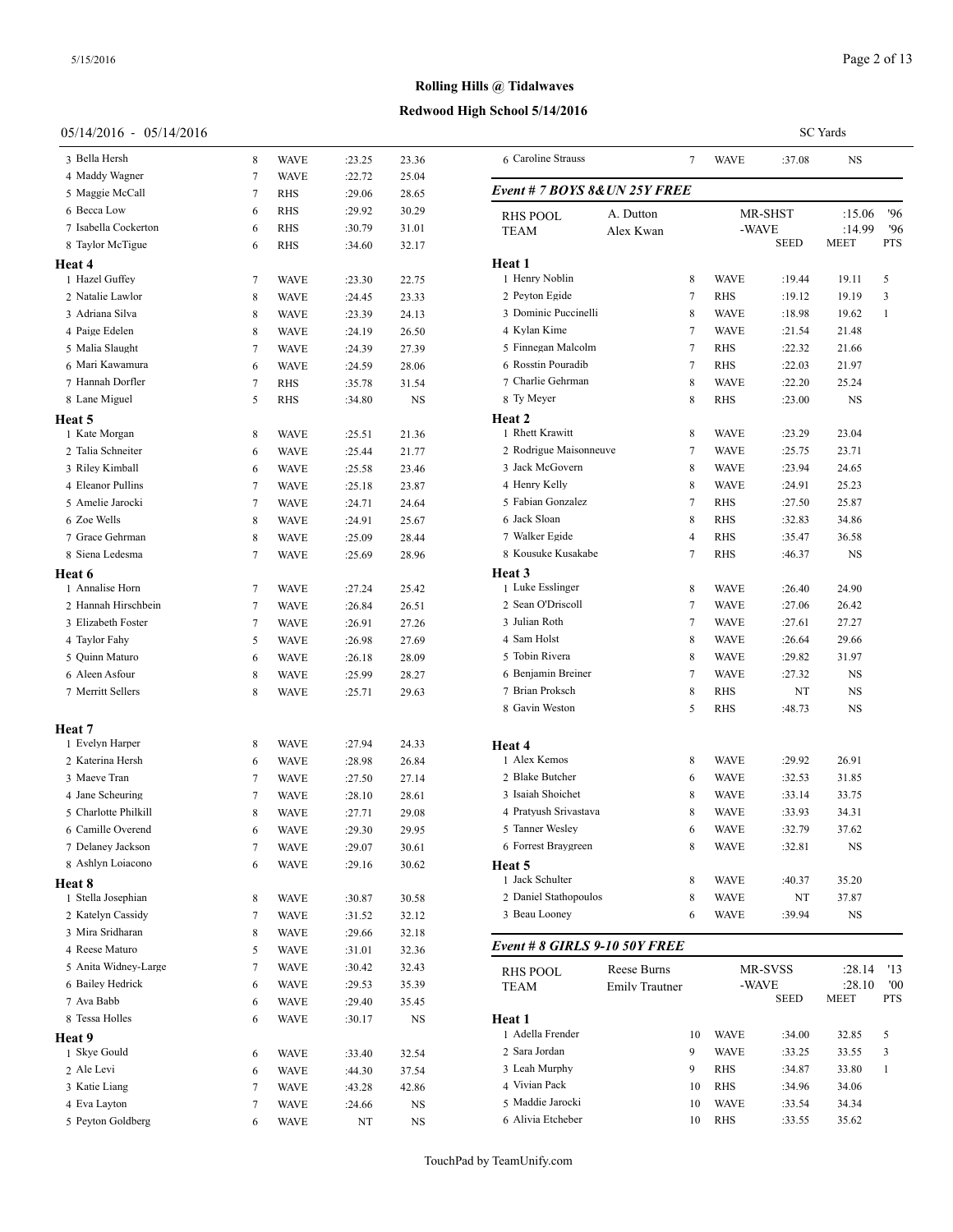**Heat 4**

**Heat 5**

**Heat 6**

**Heat 7**

**Heat 8**

**Heat 9**

# **Rolling Hills @ Tidalwaves**

#### **Redwood High School 5/14/2016**

#### 05/14/2016 - 05/14/2016

| 05/14/2016 - 05/14/2016 |                |             |        |           |                               |                       |        |             |             | <b>SC</b> Yards |            |
|-------------------------|----------------|-------------|--------|-----------|-------------------------------|-----------------------|--------|-------------|-------------|-----------------|------------|
| 3 Bella Hersh           | 8              | <b>WAVE</b> | :23.25 | 23.36     | 6 Caroline Strauss            |                       | $\tau$ | <b>WAVE</b> | :37.08      | <b>NS</b>       |            |
| 4 Maddy Wagner          | $\overline{7}$ | <b>WAVE</b> | :22.72 | 25.04     |                               |                       |        |             |             |                 |            |
| 5 Maggie McCall         | 7              | <b>RHS</b>  | :29.06 | 28.65     | Event # 7 BOYS 8& UN 25Y FREE |                       |        |             |             |                 |            |
| 6 Becca Low             | 6              | <b>RHS</b>  | :29.92 | 30.29     | <b>RHS POOL</b>               | A. Dutton             |        |             | MR-SHST     | :15.06          | '96        |
| 7 Isabella Cockerton    | 6              | <b>RHS</b>  | :30.79 | 31.01     | <b>TEAM</b>                   | Alex Kwan             |        | -WAVE       |             | :14.99          | '96        |
| 8 Taylor McTigue        | 6              | <b>RHS</b>  | :34.60 | 32.17     |                               |                       |        |             | <b>SEED</b> | <b>MEET</b>     | <b>PTS</b> |
| eat 4                   |                |             |        |           | Heat 1                        |                       |        |             |             |                 |            |
| 1 Hazel Guffey          | 7              | <b>WAVE</b> | :23.30 | 22.75     | 1 Henry Noblin                |                       | 8      | <b>WAVE</b> | :19.44      | 19.11           | 5          |
| 2 Natalie Lawlor        | 8              | <b>WAVE</b> | :24.45 | 23.33     | 2 Peyton Egide                |                       | 7      | <b>RHS</b>  | :19.12      | 19.19           | 3          |
| 3 Adriana Silva         | 8              | <b>WAVE</b> | :23.39 | 24.13     | 3 Dominic Puccinelli          |                       | 8      | <b>WAVE</b> | :18.98      | 19.62           | 1          |
| 4 Paige Edelen          | 8              | <b>WAVE</b> | :24.19 | 26.50     | 4 Kylan Kime                  |                       | 7      | <b>WAVE</b> | :21.54      | 21.48           |            |
| 5 Malia Slaught         | 7              | <b>WAVE</b> | :24.39 | 27.39     | 5 Finnegan Malcolm            |                       | 7      | <b>RHS</b>  | :22.32      | 21.66           |            |
| 6 Mari Kawamura         | 6              | <b>WAVE</b> | :24.59 | 28.06     | 6 Rosstin Pouradib            |                       | 7      | <b>RHS</b>  | :22.03      | 21.97           |            |
| 7 Hannah Dorfler        | 7              | <b>RHS</b>  | :35.78 | 31.54     | 7 Charlie Gehrman             |                       | 8      | <b>WAVE</b> | :22.20      | 25.24           |            |
| 8 Lane Miguel           | 5              | <b>RHS</b>  | :34.80 | NS        | 8 Ty Meyer                    |                       | 8      | RHS         | :23.00      | NS              |            |
| eat 5                   |                |             |        |           | Heat 2<br>1 Rhett Krawitt     |                       |        |             |             |                 |            |
| 1 Kate Morgan           | 8              | <b>WAVE</b> | :25.51 | 21.36     |                               |                       | 8      | <b>WAVE</b> | :23.29      | 23.04           |            |
| 2 Talia Schneiter       | 6              | <b>WAVE</b> | :25.44 | 21.77     | 2 Rodrigue Maisonneuve        |                       | 7      | <b>WAVE</b> | :25.75      | 23.71           |            |
| 3 Riley Kimball         | 6              | <b>WAVE</b> | :25.58 | 23.46     | 3 Jack McGovern               |                       | 8      | <b>WAVE</b> | :23.94      | 24.65           |            |
| 4 Eleanor Pullins       | 7              | <b>WAVE</b> | :25.18 | 23.87     | 4 Henry Kelly                 |                       | 8      | <b>WAVE</b> | :24.91      | 25.23           |            |
| 5 Amelie Jarocki        | 7              | <b>WAVE</b> | :24.71 | 24.64     | 5 Fabian Gonzalez             |                       | 7      | <b>RHS</b>  | :27.50      | 25.87           |            |
| 6 Zoe Wells             | 8              | <b>WAVE</b> | :24.91 | 25.67     | 6 Jack Sloan                  |                       | 8      | RHS         | :32.83      | 34.86           |            |
| 7 Grace Gehrman         | 8              | <b>WAVE</b> | :25.09 | 28.44     | 7 Walker Egide                |                       | 4      | RHS         | :35.47      | 36.58           |            |
| 8 Siena Ledesma         | $\overline{7}$ | <b>WAVE</b> | :25.69 | 28.96     | 8 Kousuke Kusakabe            |                       | 7      | <b>RHS</b>  | :46.37      | <b>NS</b>       |            |
| eat 6                   |                |             |        |           | Heat 3                        |                       |        |             |             |                 |            |
| 1 Annalise Horn         | 7              | <b>WAVE</b> | :27.24 | 25.42     | 1 Luke Esslinger              |                       | 8      | <b>WAVE</b> | :26.40      | 24.90           |            |
| 2 Hannah Hirschbein     | $\overline{7}$ | <b>WAVE</b> | :26.84 | 26.51     | 2 Sean O'Driscoll             |                       | 7      | <b>WAVE</b> | :27.06      | 26.42           |            |
| 3 Elizabeth Foster      | 7              | <b>WAVE</b> | :26.91 | 27.26     | 3 Julian Roth                 |                       | 7      | <b>WAVE</b> | :27.61      | 27.27           |            |
| 4 Taylor Fahy           | 5              | <b>WAVE</b> | :26.98 | 27.69     | 4 Sam Holst                   |                       | 8      | <b>WAVE</b> | :26.64      | 29.66           |            |
| 5 Quinn Maturo          | 6              | <b>WAVE</b> | :26.18 | 28.09     | 5 Tobin Rivera                |                       | 8      | <b>WAVE</b> | :29.82      | 31.97           |            |
| 6 Aleen Asfour          | 8              | <b>WAVE</b> | :25.99 | 28.27     | 6 Benjamin Breiner            |                       | 7      | <b>WAVE</b> | :27.32      | NS              |            |
| 7 Merritt Sellers       | 8              | <b>WAVE</b> | :25.71 | 29.63     | 7 Brian Proksch               |                       | 8      | <b>RHS</b>  | NT          | NS              |            |
|                         |                |             |        |           | 8 Gavin Weston                |                       | 5      | <b>RHS</b>  | :48.73      | <b>NS</b>       |            |
| eat 7                   |                |             |        |           |                               |                       |        |             |             |                 |            |
| 1 Evelyn Harper         | 8              | <b>WAVE</b> | :27.94 | 24.33     | Heat 4                        |                       |        |             |             |                 |            |
| 2 Katerina Hersh        | 6              | <b>WAVE</b> | :28.98 | 26.84     | 1 Alex Kemos                  |                       | 8      | <b>WAVE</b> | :29.92      | 26.91           |            |
| 3 Maeve Tran            | 7              | <b>WAVE</b> | :27.50 | 27.14     | 2 Blake Butcher               |                       | 6      | <b>WAVE</b> | :32.53      | 31.85           |            |
| 4 Jane Scheuring        | 7              | <b>WAVE</b> | :28.10 | 28.61     | 3 Isaiah Shoichet             |                       | 8      | <b>WAVE</b> | :33.14      | 33.75           |            |
| 5 Charlotte Philkill    | 8              | <b>WAVE</b> | :27.71 | 29.08     | 4 Pratyush Srivastava         |                       | 8      | <b>WAVE</b> | :33.93      | 34.31           |            |
| 6 Camille Overend       | 6              | <b>WAVE</b> | :29.30 | 29.95     | 5 Tanner Wesley               |                       | 6      | <b>WAVE</b> | :32.79      | 37.62           |            |
| 7 Delaney Jackson       | 7              | <b>WAVE</b> | :29.07 | 30.61     | 6 Forrest Braygreen           |                       | 8      | <b>WAVE</b> | :32.81      | NS              |            |
| 8 Ashlyn Loiacono       | 6              | <b>WAVE</b> | :29.16 | 30.62     | Heat 5                        |                       |        |             |             |                 |            |
| eat 8                   |                |             |        |           | 1 Jack Schulter               |                       | 8      | <b>WAVE</b> | :40.37      | 35.20           |            |
| 1 Stella Josephian      | 8              | <b>WAVE</b> | :30.87 | 30.58     | 2 Daniel Stathopoulos         |                       | 8      | <b>WAVE</b> | NT          | 37.87           |            |
| 2 Katelyn Cassidy       | 7              | <b>WAVE</b> | :31.52 | 32.12     | 3 Beau Looney                 |                       | 6      | <b>WAVE</b> | :39.94      | NS              |            |
| 3 Mira Sridharan        | 8              | <b>WAVE</b> | :29.66 | 32.18     |                               |                       |        |             |             |                 |            |
| 4 Reese Maturo          | 5              | <b>WAVE</b> | :31.01 | 32.36     | Event # 8 GIRLS 9-10 50Y FREE |                       |        |             |             |                 |            |
| 5 Anita Widney-Large    | 7              | <b>WAVE</b> | :30.42 | 32.43     | <b>RHS POOL</b>               | Reese Burns           |        |             | MR-SVSS     | :28.14          | '13        |
| 6 Bailey Hedrick        | 6              | <b>WAVE</b> | :29.53 | 35.39     | <b>TEAM</b>                   | <b>Emily Trautner</b> |        | -WAVE       |             | :28.10          | '00        |
| 7 Ava Babb              | 6              | <b>WAVE</b> | :29.40 | 35.45     |                               |                       |        |             | <b>SEED</b> | <b>MEET</b>     | <b>PTS</b> |
| 8 Tessa Holles          | 6              | <b>WAVE</b> | :30.17 | <b>NS</b> | Heat 1                        |                       |        |             |             |                 |            |
| eat 9                   |                |             |        |           | 1 Adella Frender              |                       | 10     | <b>WAVE</b> | :34.00      | 32.85           | 5          |
| 1 Skye Gould            | 6              | <b>WAVE</b> | :33.40 | 32.54     | 2 Sara Jordan                 |                       | 9      | <b>WAVE</b> | :33.25      | 33.55           | 3          |
| 2 Ale Levi              | 6              | <b>WAVE</b> | :44.30 | 37.54     | 3 Leah Murphy                 |                       | 9      | <b>RHS</b>  | :34.87      | 33.80           | 1          |
| 3 Katie Liang           | -7             | <b>WAVE</b> | :43.28 | 42.86     | 4 Vivian Pack                 |                       | 10     | <b>RHS</b>  | :34.96      | 34.06           |            |
| 4 Eva Layton            | 7              | <b>WAVE</b> | :24.66 | <b>NS</b> | 5 Maddie Jarocki              |                       | 10     | <b>WAVE</b> | :33.54      | 34.34           |            |
| 5 Peyton Goldberg       | 6              | <b>WAVE</b> | NT     | <b>NS</b> | 6 Alivia Etcheber             |                       | 10     | <b>RHS</b>  | :33.55      | 35.62           |            |
|                         |                |             |        |           |                               |                       |        |             |             |                 |            |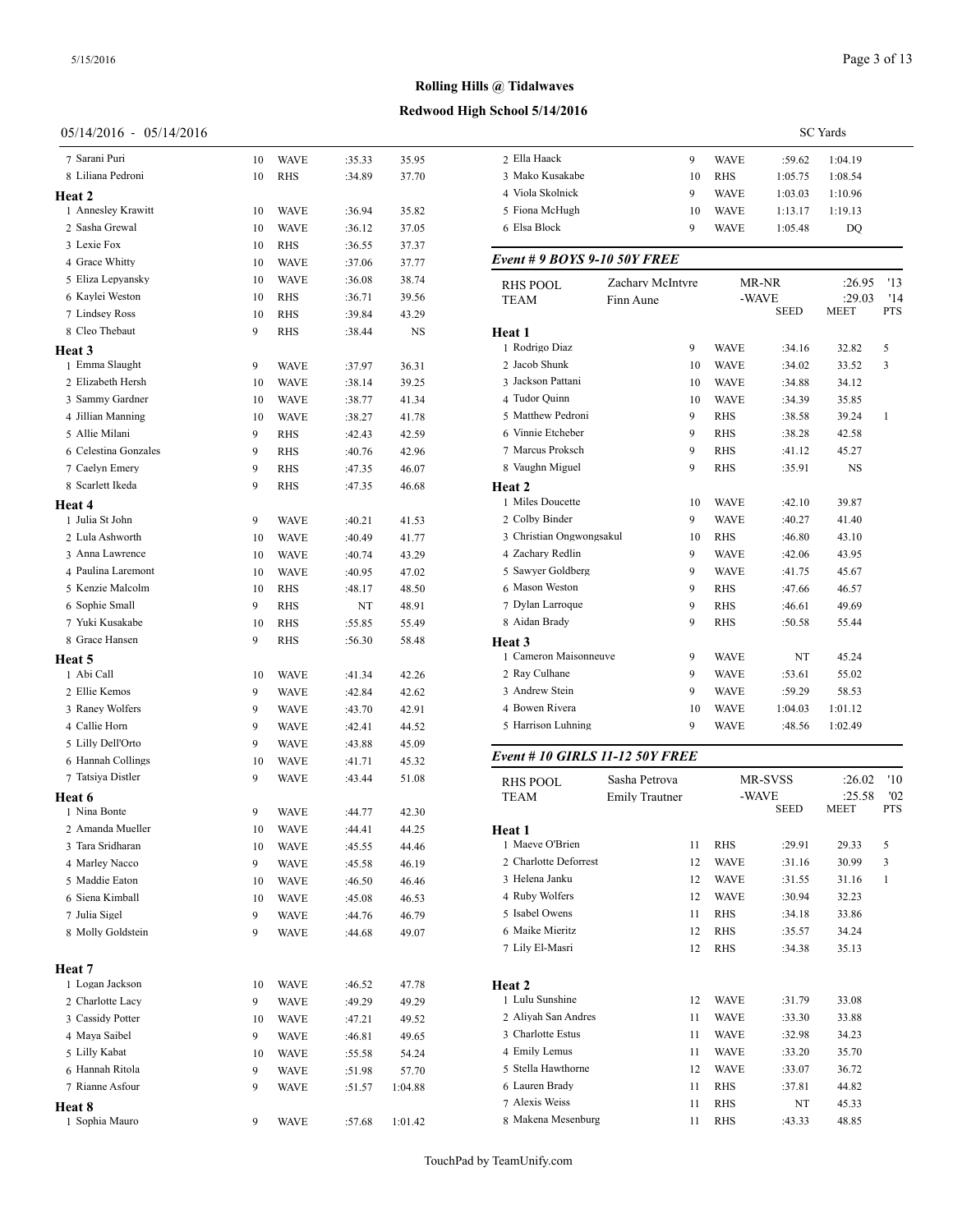# 05/14/2016 - 05/14/2016

| 7 Sarani Puri                       | 10      | <b>WAVE</b>         | :35.33           | 35.95          | 2 Ella H            |
|-------------------------------------|---------|---------------------|------------------|----------------|---------------------|
| 8 Liliana Pedroni                   | 10      | RHS                 | :34.89           | 37.70          | 3 Mako              |
| Heat 2                              |         |                     |                  |                | 4 Viola:            |
| 1 Annesley Krawitt                  | 10      | <b>WAVE</b>         | :36.94           | 35.82          | 5 Fiona             |
| 2 Sasha Grewal                      | 10      | <b>WAVE</b>         | :36.12           | 37.05          | 6 Elsa B            |
| 3 Lexie Fox                         | 10      | RHS                 | :36.55           | 37.37          |                     |
| 4 Grace Whitty                      | 10      | <b>WAVE</b>         | :37.06           | 37.77          | Event #             |
| 5 Eliza Lepyansky                   | 10      | <b>WAVE</b>         | :36.08           | 38.74          | RHS PO              |
| 6 Kaylei Weston                     | 10      | RHS                 | :36.71           | 39.56          | TEAM                |
| 7 Lindsey Ross                      | 10      | <b>RHS</b>          | :39.84           | 43.29          |                     |
| 8 Cleo Thebaut                      | 9       | RHS                 | :38.44           | NS             | Heat 1              |
| Heat 3                              |         |                     |                  |                | 1 Rodrig            |
| 1 Emma Slaught                      | 9       | <b>WAVE</b>         | :37.97           | 36.31          | 2 Jacob             |
| 2 Elizabeth Hersh                   | 10      | <b>WAVE</b>         | :38.14           | 39.25          | 3 Jackso            |
| 3 Sammy Gardner                     | 10      | <b>WAVE</b>         | :38.77           | 41.34          | 4 Tudor<br>5 Matthe |
| 4 Jillian Manning<br>5 Allie Milani | 10      | <b>WAVE</b>         | :38.27           | 41.78          | 6 Vinnie            |
| 6 Celestina Gonzales                | 9<br>9  | RHS<br><b>RHS</b>   | :42.43           | 42.59          | 7 Marcu             |
| 7 Caelyn Emery                      | 9       | <b>RHS</b>          | :40.76           | 42.96          | 8 Vaugh             |
| 8 Scarlett Ikeda                    | 9       | RHS                 | :47.35<br>:47.35 | 46.07<br>46.68 |                     |
|                                     |         |                     |                  |                | Heat 2<br>1 Miles   |
| Heat 4<br>1 Julia St John           | 9       | <b>WAVE</b>         | :40.21           | 41.53          | 2 Colby             |
| 2 Lula Ashworth                     | 10      | <b>WAVE</b>         | :40.49           | 41.77          | 3 Christ            |
| 3 Anna Lawrence                     | 10      | <b>WAVE</b>         | :40.74           | 43.29          | 4 Zacha             |
| 4 Paulina Laremont                  | 10      | <b>WAVE</b>         | :40.95           | 47.02          | 5 Sawye             |
| 5 Kenzie Malcolm                    | 10      | <b>RHS</b>          | :48.17           | 48.50          | 6 Masor             |
| 6 Sophie Small                      | 9       | <b>RHS</b>          | NT               | 48.91          | 7 Dylan             |
| 7 Yuki Kusakabe                     | 10      | RHS                 | :55.85           | 55.49          | 8 Aidan             |
| 8 Grace Hansen                      | 9       | RHS                 | :56.30           | 58.48          | Heat 3              |
| Heat 5                              |         |                     |                  |                | 1 Camer             |
| 1 Abi Call                          | 10      | <b>WAVE</b>         | :41.34           | 42.26          | 2 Ray C             |
| 2 Ellie Kemos                       | 9       | <b>WAVE</b>         | :42.84           | 42.62          | 3 Andre             |
| 3 Raney Wolfers                     | 9       | <b>WAVE</b>         | :43.70           | 42.91          | 4 Bower             |
| 4 Callie Horn                       | 9       | <b>WAVE</b>         | :42.41           | 44.52          | 5 Harris            |
| 5 Lilly Dell'Orto                   | 9       | <b>WAVE</b>         | :43.88           | 45.09          |                     |
| 6 Hannah Collings                   | 10      | <b>WAVE</b>         | :41.71           | 45.32          | Event#              |
| 7 Tatsiya Distler                   | 9       | WAVE                | :43.44           | 51.08          | RHS PC              |
| Heat 6                              |         |                     |                  |                | TEAM                |
| 1 Nina Bonte<br>2 Amanda Mueller    | 9       | <b>WAVE</b>         | :44.77           | 42.30          |                     |
|                                     | 10      | WAVE                | :44.41           | 44.25          | Heat 1<br>1 Maeve   |
| 3 Tara Sridharan<br>4 Marley Nacco  | 10<br>9 | WAVE                | :45.55           | 44.46          | 2 Charld            |
| 5 Maddie Eaton                      | 10      | WAVE<br><b>WAVE</b> | :45.58<br>:46.50 | 46.19<br>46.46 | 3 Helena            |
| 6 Siena Kimball                     | 10      | WAVE                |                  |                | 4 Ruby              |
| 7 Julia Sigel                       | 9       | WAVE                | :45.08<br>:44.76 | 46.53<br>46.79 | 5 Isabel            |
| 8 Molly Goldstein                   | 9       | WAVE                | :44.68           | 49.07          | 6 Maike             |
|                                     |         |                     |                  |                | 7 Lily E            |
| Heat 7                              |         |                     |                  |                |                     |
| 1 Logan Jackson                     | 10      | WAVE                | :46.52           | 47.78          | Heat 2              |
| 2 Charlotte Lacy                    | 9       | WAVE                | :49.29           | 49.29          | 1 Lulu S            |
| 3 Cassidy Potter                    | 10      | WAVE                | :47.21           | 49.52          | 2 Aliyal            |
| 4 Maya Saibel                       | 9       | WAVE                | :46.81           | 49.65          | 3 Charlo            |
| 5 Lilly Kabat                       | 10      | WAVE                | :55.58           | 54.24          | 4 Emily<br>5 Stella |
| 6 Hannah Ritola                     | 9       | WAVE                | :51.98           | 57.70          | 6 Laurer            |
| 7 Rianne Asfour                     | 9       | WAVE                | :51.57           | 1:04.88        | 7 Alexis            |
| <b>Heat 8</b><br>1 Sophia Mauro     |         |                     |                  |                | 8 Maker             |
|                                     | 9       | <b>WAVE</b>         | :57.68           | 1:01.42        |                     |

| 3 Mako Kusakabe                        |                       | 10 | <b>RHS</b>  | 1:05.75 | 1:08.54     |              |
|----------------------------------------|-----------------------|----|-------------|---------|-------------|--------------|
| 4 Viola Skolnick                       |                       | 9  | WAVE        | 1:03.03 | 1:10.96     |              |
| 5 Fiona McHugh                         |                       | 10 | WAVE        | 1:13.17 | 1:19.13     |              |
| 6 Elsa Block                           |                       | 9  | WAVE        | 1:05.48 | DQ          |              |
| Event # 9 BOYS 9-10 50Y FREE           |                       |    |             |         |             |              |
| <b>RHS POOL</b>                        | Zachary McIntyre      |    |             | MR-NR   | :26.95      | '13          |
| TEAM                                   | Finn Aune             |    | -WAVE       |         | :29.03      | '14          |
|                                        |                       |    |             | SEED    | MEET        | PTS          |
| Heat 1                                 |                       |    |             |         |             |              |
| 1 Rodrigo Diaz                         |                       | 9  | <b>WAVE</b> | :34.16  | 32.82       | 5            |
| 2 Jacob Shunk                          |                       | 10 | WAVE        | :34.02  | 33.52       | 3            |
| 3 Jackson Pattani                      |                       | 10 | WAVE        | :34.88  | 34.12       |              |
| 4 Tudor Quinn                          |                       | 10 | <b>WAVE</b> | :34.39  | 35.85       |              |
| 5 Matthew Pedroni                      |                       | 9  | RHS         | :38.58  | 39.24       | 1            |
| 6 Vinnie Etcheber                      |                       | 9  | <b>RHS</b>  | :38.28  | 42.58       |              |
| 7 Marcus Proksch                       |                       | 9  | RHS         | :41.12  | 45.27       |              |
| 8 Vaughn Miguel                        |                       | 9  | RHS         | :35.91  | NS          |              |
| <b>Heat 2</b>                          |                       |    |             |         |             |              |
| 1 Miles Doucette                       |                       | 10 | WAVE        | :42.10  | 39.87       |              |
| 2 Colby Binder                         |                       | 9  | WAVE        | :40.27  | 41.40       |              |
| 3 Christian Ongwongsakul               |                       | 10 | <b>RHS</b>  | :46.80  | 43.10       |              |
| 4 Zachary Redlin                       |                       | 9  | WAVE        | :42.06  | 43.95       |              |
| 5 Sawyer Goldberg                      |                       | 9  | <b>WAVE</b> | :41.75  | 45.67       |              |
| 6 Mason Weston                         |                       | 9  | <b>RHS</b>  | :47.66  | 46.57       |              |
| 7 Dylan Larroque                       |                       | 9  | RHS         | :46.61  | 49.69       |              |
| 8 Aidan Brady                          |                       | 9  | RHS         | :50.58  | 55.44       |              |
| <b>Heat 3</b>                          |                       |    |             |         |             |              |
| 1 Cameron Maisonneuve                  |                       | 9  | WAVE        | NT      | 45.24       |              |
| 2 Ray Culhane                          |                       | 9  | <b>WAVE</b> | :53.61  | 55.02       |              |
| 3 Andrew Stein                         |                       | 9  | WAVE        | :59.29  | 58.53       |              |
| 4 Bowen Rivera                         |                       | 10 | WAVE        | 1:04.03 | 1:01.12     |              |
| 5 Harrison Luhning                     |                       | 9  | WAVE        | :48.56  | 1:02.49     |              |
| <b>Event # 10 GIRLS 11-12 50Y FREE</b> |                       |    |             |         |             |              |
| <b>RHS POOL</b>                        | Sasha Petrova         |    |             | MR-SVSS | :26.02      | '10          |
| TEAM                                   | <b>Emily Trautner</b> |    | -WAVE       |         | :25.58      | '02          |
|                                        |                       |    |             | SEED    | <b>MEET</b> | PTS          |
| Heat 1                                 |                       |    |             |         |             |              |
| 1 Maeve O'Brien                        |                       | 11 | <b>RHS</b>  | :29.91  | 29.33       | 5            |
| 2 Charlotte Deforrest                  |                       | 12 | WAVE        | :31.16  | 30.99       | 3            |
| 3 Helena Janku                         |                       | 12 | <b>WAVE</b> | :31.55  | 31.16       | $\mathbf{1}$ |
| 4 Ruby Wolfers                         |                       | 12 | <b>WAVE</b> | :30.94  | 32.23       |              |
| 5 Isabel Owens                         |                       | 11 | RHS         | :34.18  | 33.86       |              |
| 6 Maike Mieritz                        |                       | 12 | RHS         | :35.57  | 34.24       |              |
| 7 Lily El-Masri                        |                       | 12 | RHS         | :34.38  | 35.13       |              |
| Heat 2                                 |                       |    |             |         |             |              |
| 1 Lulu Sunshine                        |                       | 12 | WAVE        | :31.79  | 33.08       |              |
| 2 Aliyah San Andres                    |                       | 11 | WAVE        | :33.30  | 33.88       |              |
| 3 Charlotte Estus                      |                       | 11 | <b>WAVE</b> | :32.98  | 34.23       |              |
| 4 Emily Lemus                          |                       | 11 | WAVE        | :33.20  | 35.70       |              |
| 5 Stella Hawthorne                     |                       | 12 | WAVE        | :33.07  | 36.72       |              |
| 6 Lauren Brady                         |                       | 11 | RHS         | :37.81  | 44.82       |              |
| 7 Alexis Weiss                         |                       | 11 | RHS         | NT      | 45.33       |              |
| 8 Makena Mesenburg                     |                       | 11 | RHS         | :43.33  | 48.85       |              |
|                                        |                       |    |             |         |             |              |

Ella Haack 9 WAVE :59.62 1:04.19

TouchPad by TeamUnify.com

SC Yards

# **Rolling Hills @ Tidalwaves**

# **Redwood High School 5/14/2016**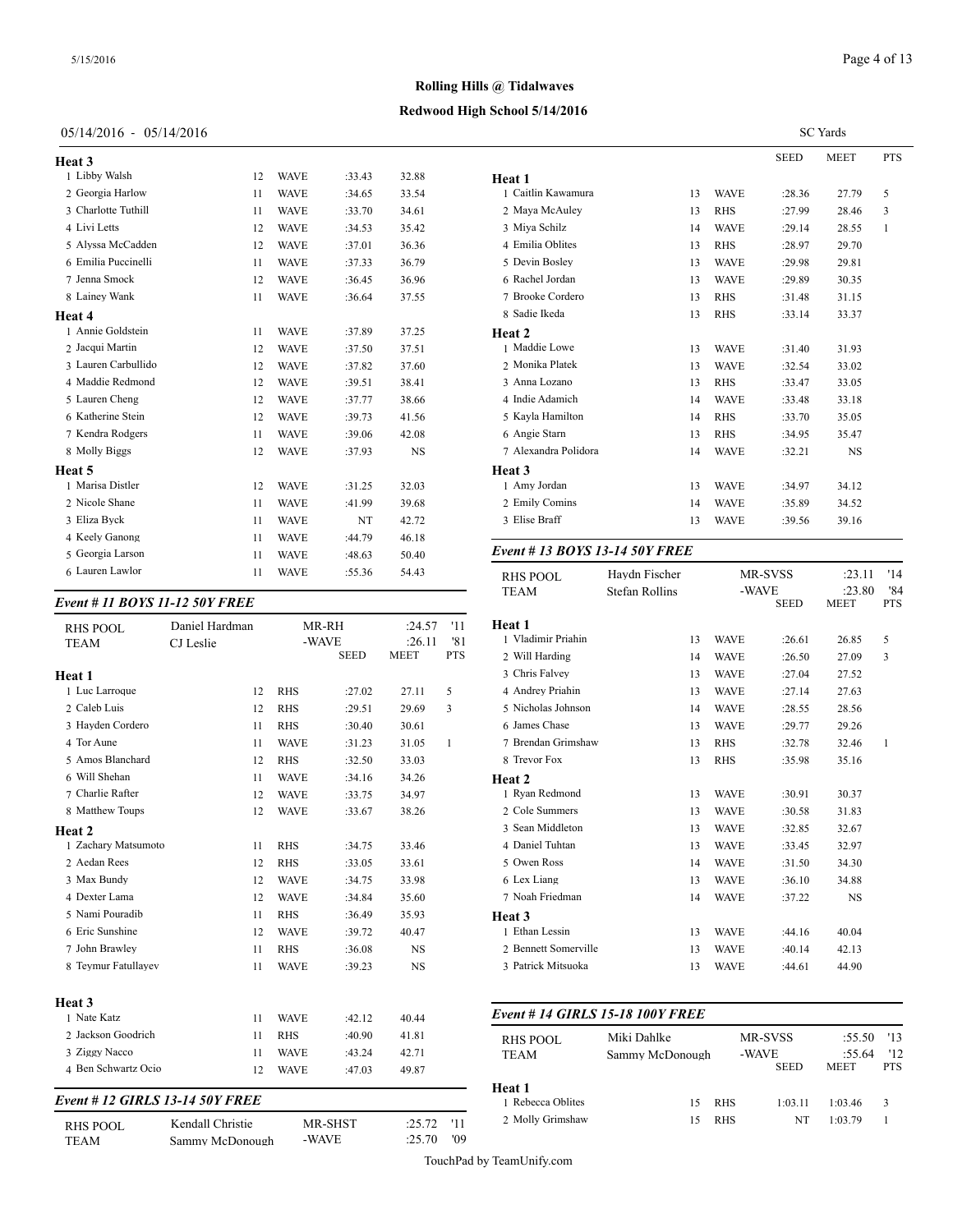# Page 4 of 13

SC Yards

# **Rolling Hills @ Tidalwaves**

# **Redwood High School 5/14/2016**

# 05/14/2016 - 05/14/2016

| Heat 3              |    |             |        |           |           |
|---------------------|----|-------------|--------|-----------|-----------|
| 1 Libby Walsh       | 12 | <b>WAVE</b> | :33.43 | 32.88     | Heat 1    |
| 2 Georgia Harlow    | 11 | <b>WAVE</b> | :34.65 | 33.54     | 1 Caitlin |
| 3 Charlotte Tuthill | 11 | <b>WAVE</b> | :33.70 | 34.61     | 2 Maya    |
| 4 Livi Letts        | 12 | <b>WAVE</b> | :34.53 | 35.42     | 3 Miya !  |
| 5 Alyssa McCadden   | 12 | <b>WAVE</b> | :37.01 | 36.36     | 4 Emilia  |
| 6 Emilia Puccinelli | 11 | <b>WAVE</b> | :37.33 | 36.79     | 5 Devin   |
| 7 Jenna Smock       | 12 | <b>WAVE</b> | :36.45 | 36.96     | 6 Rache   |
| 8 Lainey Wank       | 11 | <b>WAVE</b> | :36.64 | 37.55     | 7 Brook   |
| Heat 4              |    |             |        |           | 8 Sadie   |
| 1 Annie Goldstein   | 11 | <b>WAVE</b> | :37.89 | 37.25     | Heat 2    |
| 2 Jacqui Martin     | 12 | <b>WAVE</b> | :37.50 | 37.51     | 1 Maddi   |
| 3 Lauren Carbullido | 12 | <b>WAVE</b> | :37.82 | 37.60     | 2 Monik   |
| 4 Maddie Redmond    | 12 | <b>WAVE</b> | :39.51 | 38.41     | 3 Anna    |
| 5 Lauren Cheng      | 12 | <b>WAVE</b> | :37.77 | 38.66     | 4 Indie / |
| 6 Katherine Stein   | 12 | <b>WAVE</b> | :39.73 | 41.56     | 5 Kayla   |
| 7 Kendra Rodgers    | 11 | <b>WAVE</b> | :39.06 | 42.08     | 6 Angie   |
| 8 Molly Biggs       | 12 | <b>WAVE</b> | :37.93 | <b>NS</b> | 7 Alexar  |
| Heat 5              |    |             |        |           | Heat 3    |
| 1 Marisa Distler    | 12 | <b>WAVE</b> | :31.25 | 32.03     | 1 Amy J   |
| 2 Nicole Shane      | 11 | <b>WAVE</b> | :41.99 | 39.68     | 2 Emily   |
| 3 Eliza Byck        | 11 | <b>WAVE</b> | NT     | 42.72     | 3 Elise I |
| 4 Keely Ganong      | 11 | <b>WAVE</b> | :44.79 | 46.18     |           |
| 5 Georgia Larson    | 11 | <b>WAVE</b> | :48.63 | 50.40     | Event #   |
| 6 Lauren Lawlor     | 11 | <b>WAVE</b> | :55.36 | 54.43     | D H S D C |

# *Event # 11 BOYS 11-12 50Y FREE*

| <b>RHS POOL</b>                 | Daniel Hardman<br>CJ Leslie | -WAVE       | MR-RH       | :24.57<br>:26.11 | '11<br>'81   | Heat 1<br>1 Vladimir Priahir |
|---------------------------------|-----------------------------|-------------|-------------|------------------|--------------|------------------------------|
| <b>TEAM</b>                     |                             |             | <b>SEED</b> | <b>MEET</b>      | <b>PTS</b>   | 2 Will Harding               |
| Heat 1                          |                             |             |             |                  |              | 3 Chris Falvey               |
| 1 Luc Larroque                  | 12                          | <b>RHS</b>  | :27.02      | 27.11            | 5            | 4 Andrey Priahin             |
| 2 Caleb Luis                    | 12                          | <b>RHS</b>  | :29.51      | 29.69            | 3            | 5 Nicholas Johnso            |
| 3 Hayden Cordero                | 11                          | <b>RHS</b>  | :30.40      | 30.61            |              | 6 James Chase                |
| 4 Tor Aune                      | 11                          | <b>WAVE</b> | :31.23      | 31.05            | $\mathbf{1}$ | 7 Brendan Grimsh             |
| 5 Amos Blanchard                | 12                          | <b>RHS</b>  | :32.50      | 33.03            |              | 8 Trevor Fox                 |
| 6 Will Shehan                   | 11                          | <b>WAVE</b> | :34.16      | 34.26            |              | Heat <sub>2</sub>            |
| 7 Charlie Rafter                | 12                          | <b>WAVE</b> | :33.75      | 34.97            |              | 1 Ryan Redmond               |
| 8 Matthew Toups                 | 12                          | <b>WAVE</b> | :33.67      | 38.26            |              | 2 Cole Summers               |
| Heat 2                          |                             |             |             |                  |              | 3 Sean Middleton             |
| 1 Zachary Matsumoto             | 11                          | <b>RHS</b>  | :34.75      | 33.46            |              | 4 Daniel Tuhtan              |
| 2 Aedan Rees                    | 12                          | <b>RHS</b>  | :33.05      | 33.61            |              | 5 Owen Ross                  |
| 3 Max Bundy                     | 12                          | <b>WAVE</b> | :34.75      | 33.98            |              | 6 Lex Liang                  |
| 4 Dexter Lama                   | 12                          | <b>WAVE</b> | :34.84      | 35.60            |              | 7 Noah Friedman              |
| 5 Nami Pouradib                 | 11                          | <b>RHS</b>  | :36.49      | 35.93            |              | Heat 3                       |
| 6 Eric Sunshine                 | 12                          | <b>WAVE</b> | :39.72      | 40.47            |              | 1 Ethan Lessin               |
| 7 John Brawley                  | 11                          | <b>RHS</b>  | :36.08      | <b>NS</b>        |              | 2 Bennett Somerv             |
| 8 Teymur Fatullayev             | 11                          | <b>WAVE</b> | :39.23      | <b>NS</b>        |              | 3 Patrick Mitsuok            |
| Heat <sub>3</sub>               |                             |             |             |                  |              |                              |
| 1 Nate Katz                     | 11                          | <b>WAVE</b> | :42.12      | 40.44            |              | Event # 14 GIRI              |
| 2 Jackson Goodrich              | 11                          | <b>RHS</b>  | :40.90      | 41.81            |              | <b>RHS POOL</b>              |
| 3 Ziggy Nacco                   | 11                          | <b>WAVE</b> | :43.24      | 42.71            |              | <b>TEAM</b>                  |
| 4 Ben Schwartz Ocio             | 12                          | <b>WAVE</b> | :47.03      | 49.87            |              |                              |
| Event # 12 GIRLS 13-14 50Y FREE |                             |             |             |                  |              | Heat 1<br>1 Rebecca Oblites  |
|                                 |                             |             |             |                  |              |                              |

| RHS POOL | Kendall Christie | <b>MR-SHST</b> | $:25.72$ '11 |       | 2 Molly Grimshay |
|----------|------------------|----------------|--------------|-------|------------------|
| TEAM     | Sammy McDonough  | -WAVE          | :25.70       | - '09 |                  |

|                                            |                |          |                            | SEED             | MEET           | <b>PTS</b>        |
|--------------------------------------------|----------------|----------|----------------------------|------------------|----------------|-------------------|
| Heat 1                                     |                |          |                            |                  |                |                   |
| 1 Caitlin Kawamura                         |                | 13       | <b>WAVE</b>                | :28.36           | 27.79          | 5                 |
| 2 Maya McAuley                             |                | 13       | <b>RHS</b>                 | :27.99           | 28.46          | 3                 |
| 3 Miya Schilz                              |                | 14       | <b>WAVE</b>                | :29.14           | 28.55          | 1                 |
| 4 Emilia Oblites                           |                | 13       | RHS                        | :28.97           | 29.70          |                   |
| 5 Devin Bosley                             |                | 13       | <b>WAVE</b>                | :29.98           | 29.81          |                   |
| 6 Rachel Jordan                            |                | 13       | <b>WAVE</b>                | :29.89           | 30.35          |                   |
| 7 Brooke Cordero                           |                | 13       | RHS                        | :31.48           | 31.15          |                   |
| 8 Sadie Ikeda                              |                | 13       | <b>RHS</b>                 | :33.14           | 33.37          |                   |
| Heat 2                                     |                |          |                            |                  |                |                   |
| 1 Maddie Lowe                              |                | 13       | <b>WAVE</b>                | :31.40           | 31.93          |                   |
| 2 Monika Platek                            |                | 13       | <b>WAVE</b>                | :32.54           | 33.02          |                   |
| 3 Anna Lozano                              |                | 13       | RHS                        | :33.47           | 33.05          |                   |
| 4 Indie Adamich                            |                | 14       | <b>WAVE</b>                | :33.48           | 33.18          |                   |
| 5 Kayla Hamilton                           |                | 14       | RHS                        | :33.70           | 35.05          |                   |
| 6 Angie Starn                              |                | 13       | RHS                        | :34.95           | 35.47          |                   |
| 7 Alexandra Polidora                       |                | 14       | <b>WAVE</b>                | :32.21           | NS             |                   |
| Heat 3                                     |                |          |                            |                  |                |                   |
| 1 Amy Jordan                               |                | 13       | <b>WAVE</b>                | :34.97           | 34.12          |                   |
| 2 Emily Comins                             |                | 14       | <b>WAVE</b>                | :35.89           | 34.52          |                   |
| 3 Elise Braff                              |                | 13       | WAVE                       | :39.56           | 39.16          |                   |
| <b>RHS POOL</b>                            | Haydn Fischer  |          |                            | MR-SVSS          | :23.11         | '14               |
| TEAM                                       | Stefan Rollins |          | -WAVE                      | <b>SEED</b>      | :23.80<br>MEET | '84<br><b>PTS</b> |
|                                            |                |          |                            |                  |                |                   |
| <b>Heat 1</b><br>1 Vladimir Priahin        |                | 13       | <b>WAVE</b>                | :26.61           | 26.85          | 5                 |
| 2 Will Harding                             |                | 14       | <b>WAVE</b>                |                  |                |                   |
| 3 Chris Falvey                             |                |          |                            |                  |                |                   |
| 4 Andrey Priahin                           |                |          |                            | :26.50           | 27.09          | 3                 |
|                                            |                | 13       | <b>WAVE</b>                | :27.04           | 27.52          |                   |
|                                            |                | 13       | <b>WAVE</b>                | :27.14           | 27.63          |                   |
| 5 Nicholas Johnson                         |                | 14       | <b>WAVE</b>                | :28.55           | 28.56          |                   |
| 6 James Chase                              |                | 13       | <b>WAVE</b>                | :29.77           | 29.26          |                   |
| 7 Brendan Grimshaw                         |                | 13       | RHS                        | :32.78           | 32.46          | 1                 |
| 8 Trevor Fox                               |                | 13       | <b>RHS</b>                 | :35.98           | 35.16          |                   |
| Heat 2                                     |                |          |                            |                  |                |                   |
| 1 Ryan Redmond                             |                | 13       | <b>WAVE</b>                | :30.91           | 30.37          |                   |
| 2 Cole Summers                             |                | 13       | <b>WAVE</b>                | :30.58           | 31.83          |                   |
| 3 Sean Middleton                           |                | 13       | <b>WAVE</b>                | :32.85           | 32.67          |                   |
| 4 Daniel Tuhtan                            |                | 13       | WAVE                       | :33.45           | 32.97          |                   |
| 5 Owen Ross                                |                | 14       | <b>WAVE</b>                | :31.50           | 34.30          |                   |
| 6 Lex Liang                                |                | 13       | <b>WAVE</b>                | :36.10           | 34.88          |                   |
| 7 Noah Friedman                            |                | 14       | <b>WAVE</b>                | :37.22           | NS             |                   |
| Heat 3                                     |                |          |                            |                  |                |                   |
| 1 Ethan Lessin                             |                | 13       | <b>WAVE</b>                | :44.16           | 40.04          |                   |
| 2 Bennett Somerville<br>3 Patrick Mitsuoka |                | 13<br>13 | <b>WAVE</b><br><b>WAVE</b> | :40.14<br>:44.61 | 42.13<br>44.90 |                   |

#### *Event # 14 GIRLS 15-18 100Y FREE*

| <b>RHS POOL</b><br><b>TEAM</b> | Miki Dahlke<br>Sammy McDonough |            | MR-SVSS<br>-WAVE<br><b>SEED</b> | $:55.50$ '13<br>:55.64<br><b>MEET</b> | 12<br><b>PTS</b> |  |
|--------------------------------|--------------------------------|------------|---------------------------------|---------------------------------------|------------------|--|
| Heat 1                         |                                |            |                                 |                                       |                  |  |
| 1 Rebecca Oblites              | 15                             | <b>RHS</b> | 1:03.11                         | 1:03.46                               | 3                |  |
| 2 Molly Grimshaw               | 15                             | <b>RHS</b> | NT                              | 1.0379                                |                  |  |
|                                |                                |            |                                 |                                       |                  |  |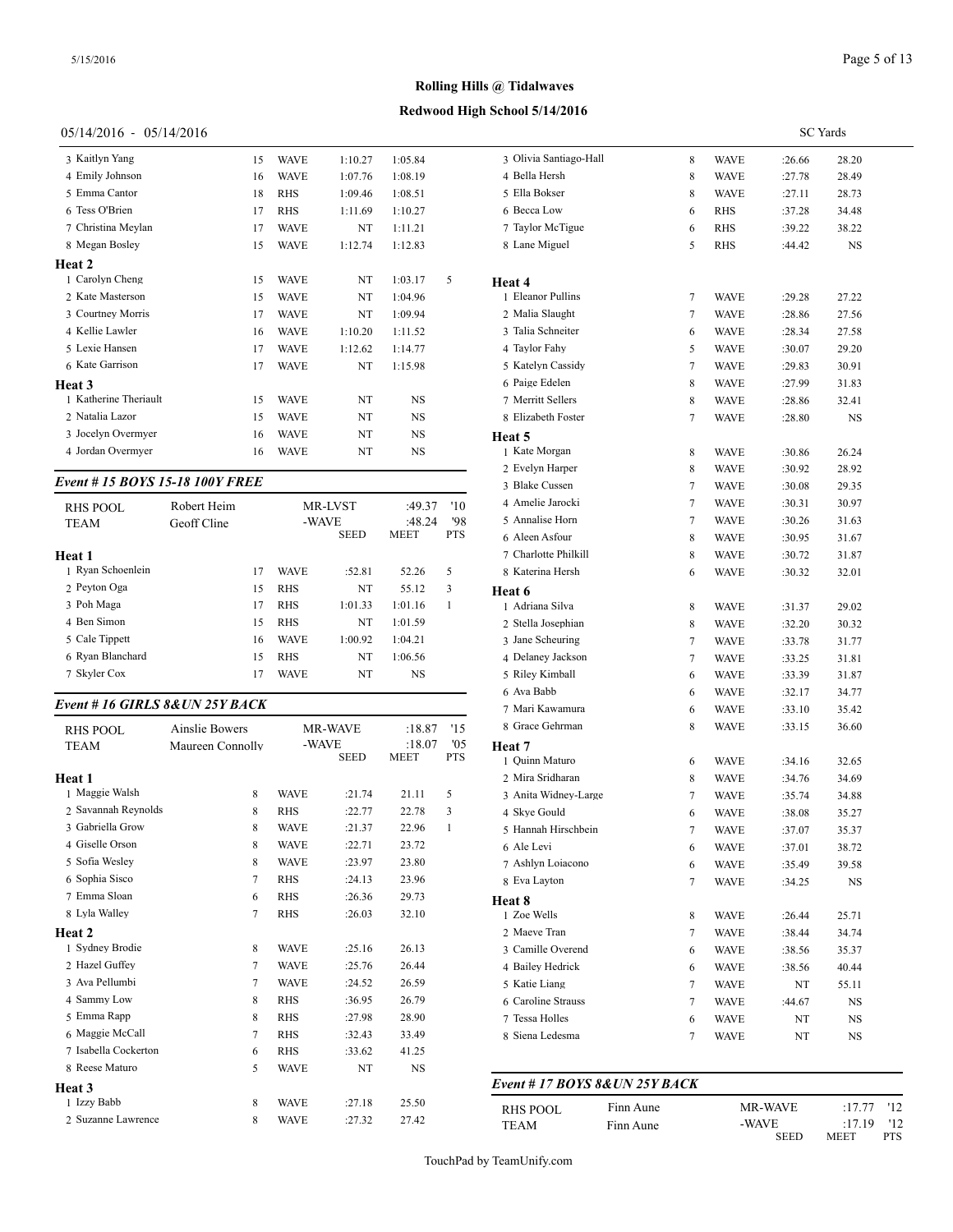# **Redwood High School 5/14/2016**

# 05/14/2016 - 05/14/2016

| Event # 15 BOYS 15-18 100Y FREE          |          |                            |          |           |   | 3 Blake Cus          |
|------------------------------------------|----------|----------------------------|----------|-----------|---|----------------------|
|                                          |          |                            |          |           |   | 2 Evelyn H           |
| 3 Jocelyn Overmyer<br>4 Jordan Overmyer  | 16<br>16 | <b>WAVE</b><br><b>WAVE</b> | NT<br>NT | NS<br>NS  |   | Heat 5<br>1 Kate Mor |
|                                          | 15       | <b>WAVE</b>                | NT       | NS        |   | 8 Elizabeth          |
| 1 Katherine Theriault<br>2 Natalia Lazor | 15       | <b>WAVE</b>                | NT       | <b>NS</b> |   | 7 Merritt Se         |
| Heat 3                                   |          |                            |          |           |   | 6 Paige Ede          |
| 6 Kate Garrison                          | 17       | <b>WAVE</b>                | NT       | 1:15.98   |   | 5 Katelyn C          |
| 5 Lexie Hansen                           | 17       | <b>WAVE</b>                | 1:12.62  | 1:14.77   |   | 4 Taylor Fa          |
| 4 Kellie Lawler                          | 16       | <b>WAVE</b>                | 1:10.20  | 1:11.52   |   | 3 Talia Schi         |
| 3 Courtney Morris                        | 17       | <b>WAVE</b>                | NT       | 1:09.94   |   | 2 Malia Sla          |
| 2 Kate Masterson                         | 15       | <b>WAVE</b>                | NT       | 1:04.96   |   | 1 Eleanor P          |
| 1 Carolyn Cheng                          | 15       | <b>WAVE</b>                | NT       | 1:03.17   | 5 | Heat 4               |
| <b>Heat 2</b>                            |          |                            |          |           |   |                      |
| 8 Megan Bosley                           | 15       | <b>WAVE</b>                | 1:12.74  | 1:12.83   |   | 8 Lane Mig           |
| 7 Christina Meylan                       | 17       | <b>WAVE</b>                | NT       | 1:11.21   |   | 7 Taylor Mo          |
| 6 Tess O'Brien                           | 17       | <b>RHS</b>                 | 1:11.69  | 1:10.27   |   | 6 Becca Lo           |
| 5 Emma Cantor                            | 18       | <b>RHS</b>                 | 1:09.46  | 1:08.51   |   | 5 Ella Boks          |
| 4 Emily Johnson                          | 16       | <b>WAVE</b>                | 1:07.76  | 1:08.19   |   | 4 Bella Her          |
| 3 Kaitlyn Yang                           | 15       | <b>WAVE</b>                | 1:10.27  | 1:05.84   |   | 3 Olivia Sar         |
|                                          |          |                            |          |           |   |                      |

| RHS POOL<br><b>TEAM</b> | Robert Heim<br>Geoff Cline |    | <b>MR-LVST</b><br>-WAVE |             | '10<br>:49.37<br>'98<br>:48.24<br><b>MEET</b> |            | 4 Amelie Jarocki<br>5 Annalise Horn |
|-------------------------|----------------------------|----|-------------------------|-------------|-----------------------------------------------|------------|-------------------------------------|
|                         |                            |    |                         | <b>SEED</b> |                                               | <b>PTS</b> | 6 Aleen Asfour                      |
| Heat 1                  |                            |    |                         |             |                                               |            | 7 Charlotte Philki                  |
| 1 Ryan Schoenlein       |                            | 17 | <b>WAVE</b>             | :52.81      | 52.26                                         | 5          | 8 Katerina Hersh                    |
| 2 Peyton Oga            |                            | 15 | <b>RHS</b>              | NT          | 55.12                                         | 3          | Heat 6                              |
| 3 Poh Maga              |                            | 17 | <b>RHS</b>              | 1:01.33     | 1:01.16                                       |            | 1 Adriana Silva                     |
| 4 Ben Simon             |                            | 15 | <b>RHS</b>              | NT          | 1:01.59                                       |            | 2 Stella Josephian                  |
| 5 Cale Tippett          |                            | 16 | <b>WAVE</b>             | 1:00.92     | 1:04.21                                       |            | 3 Jane Scheuring                    |
| 6 Ryan Blanchard        |                            | 15 | <b>RHS</b>              | NT          | 1:06.56                                       |            | 4 Delaney Jackson                   |
| 7 Skyler Cox            |                            | 17 | <b>WAVE</b>             | NT          | NS                                            |            | 5 Riley Kimball                     |
|                         |                            |    |                         |             |                                               |            |                                     |

# *Event # 16 GIRLS 8&UN 25Y BACK*

| <b>RHS POOL</b>      | <b>Ainslie Bowers</b> |             | <b>MR-WAVE</b> | :18.87      | '15        | 8 Grace Gehrman              |
|----------------------|-----------------------|-------------|----------------|-------------|------------|------------------------------|
| <b>TEAM</b>          | Maureen Connolly      |             | -WAVE          | :18.07      | '0.5       | Heat 7                       |
|                      |                       |             | <b>SEED</b>    | <b>MEET</b> | <b>PTS</b> | 1 Ouinn Maturo               |
| Heat 1               |                       |             |                |             |            | 2 Mira Sridharan             |
| 1 Maggie Walsh       | 8                     | <b>WAVE</b> | :21.74         | 21.11       | 5          | 3 Anita Widney-L             |
| 2 Savannah Reynolds  | 8                     | <b>RHS</b>  | :22.77         | 22.78       | 3          | 4 Skye Gould                 |
| 3 Gabriella Grow     | 8                     | <b>WAVE</b> | :21.37         | 22.96       | 1          | 5 Hannah Hirschb             |
| 4 Giselle Orson      | 8                     | <b>WAVE</b> | :22.71         | 23.72       |            | 6 Ale Levi                   |
| 5 Sofia Wesley       | 8                     | <b>WAVE</b> | :23.97         | 23.80       |            | 7 Ashlvn Loiacon             |
| 6 Sophia Sisco       | 7                     | <b>RHS</b>  | :24.13         | 23.96       |            | 8 Eva Layton                 |
| 7 Emma Sloan         | 6                     | <b>RHS</b>  | :26.36         | 29.73       |            | Heat 8                       |
| 8 Lyla Walley        | $\overline{7}$        | <b>RHS</b>  | :26.03         | 32.10       |            | 1 Zoe Wells                  |
| Heat 2               |                       |             |                |             |            | 2 Maeve Tran                 |
| 1 Sydney Brodie      | 8                     | <b>WAVE</b> | :25.16         | 26.13       |            | 3 Camille Overen             |
| 2 Hazel Guffey       | $\overline{7}$        | <b>WAVE</b> | :25.76         | 26.44       |            | 4 Bailey Hedrick             |
| 3 Ava Pellumbi       | $\overline{7}$        | <b>WAVE</b> | :24.52         | 26.59       |            | 5 Katie Liang                |
| 4 Sammy Low          | 8                     | <b>RHS</b>  | :36.95         | 26.79       |            | 6 Caroline Strauss           |
| 5 Emma Rapp          | 8                     | <b>RHS</b>  | :27.98         | 28.90       |            | 7 Tessa Holles               |
| 6 Maggie McCall      | 7                     | <b>RHS</b>  | :32.43         | 33.49       |            | 8 Siena Ledesma              |
| 7 Isabella Cockerton | 6                     | <b>RHS</b>  | :33.62         | 41.25       |            |                              |
| 8 Reese Maturo       | 5                     | <b>WAVE</b> | NT             | <b>NS</b>   |            |                              |
| Heat 3               |                       |             |                |             |            | <i>Event</i> # 17 <b>BOY</b> |
| 1 Izzy Babb          | 8                     | <b>WAVE</b> | :27.18         | 25.50       |            |                              |
| 2 Suzanne Lawrence   | 8                     | <b>WAVE</b> | :27.32         | 27.42       |            | <b>RHS POOL</b><br>TE A M    |

|                                 |           |        |                            | <b>SC</b> Yards  |                |
|---------------------------------|-----------|--------|----------------------------|------------------|----------------|
| 3 Olivia Santiago-Hall          |           | 8      | <b>WAVE</b>                | :26.66           | 28.20          |
| 4 Bella Hersh                   |           | 8      | <b>WAVE</b>                | :27.78           | 28.49          |
| 5 Ella Bokser                   |           | 8      | <b>WAVE</b>                | :27.11           | 28.73          |
| 6 Becca Low                     |           | 6      | <b>RHS</b>                 | :37.28           | 34.48          |
| 7 Taylor McTigue                |           | 6      | <b>RHS</b>                 | :39.22           | 38.22          |
| 8 Lane Miguel                   |           | 5      | RHS                        | :44.42           | NS             |
| <b>Heat 4</b>                   |           |        |                            |                  |                |
| 1 Eleanor Pullins               |           | 7      | <b>WAVE</b>                | :29.28           | 27.22          |
| 2 Malia Slaught                 |           | 7      | <b>WAVE</b>                | :28.86           | 27.56          |
| 3 Talia Schneiter               |           | 6      | <b>WAVE</b>                | :28.34           | 27.58          |
| 4 Taylor Fahy                   |           | 5      | <b>WAVE</b>                | :30.07           | 29.20          |
| 5 Katelyn Cassidy               |           | 7      | <b>WAVE</b>                | :29.83           | 30.91          |
| 6 Paige Edelen                  |           | 8      | <b>WAVE</b>                | :27.99           | 31.83          |
| 7 Merritt Sellers               |           | 8      | <b>WAVE</b>                | :28.86           | 32.41          |
| 8 Elizabeth Foster              |           | 7      | <b>WAVE</b>                | :28.80           | NS             |
| Heat 5                          |           |        |                            |                  |                |
| 1 Kate Morgan                   |           | 8      | <b>WAVE</b>                | :30.86           | 26.24          |
| 2 Evelyn Harper                 |           | 8      | <b>WAVE</b>                | :30.92           | 28.92          |
| 3 Blake Cussen                  |           | 7      | <b>WAVE</b>                | :30.08           | 29.35          |
| 4 Amelie Jarocki                |           | $\tau$ | <b>WAVE</b>                | :30.31           | 30.97          |
| 5 Annalise Horn                 |           | 7      | <b>WAVE</b>                | :30.26           | 31.63          |
| 6 Aleen Asfour                  |           | 8      | <b>WAVE</b>                | :30.95           | 31.67          |
| 7 Charlotte Philkill            |           | 8      | <b>WAVE</b>                | :30.72           | 31.87          |
| 8 Katerina Hersh                |           | 6      | WAVE                       | :30.32           | 32.01          |
| Heat 6                          |           |        |                            |                  |                |
| 1 Adriana Silva                 |           | 8      | <b>WAVE</b>                | :31.37           | 29.02          |
| 2 Stella Josephian              |           | 8      | <b>WAVE</b>                | :32.20           | 30.32          |
| 3 Jane Scheuring                |           | 7      | <b>WAVE</b>                | :33.78           | 31.77          |
| 4 Delaney Jackson               |           | 7      | <b>WAVE</b>                | :33.25           | 31.81          |
| 5 Riley Kimball<br>6 Ava Babb   |           | 6      | <b>WAVE</b>                | :33.39           | 31.87          |
| 7 Mari Kawamura                 |           | 6      | <b>WAVE</b>                | :32.17           | 34.77          |
| 8 Grace Gehrman                 |           | 6<br>8 | <b>WAVE</b>                | :33.10           | 35.42          |
|                                 |           |        | <b>WAVE</b>                | :33.15           | 36.60          |
| <b>Heat 7</b><br>1 Quinn Maturo |           |        | <b>WAVE</b>                |                  |                |
| 2 Mira Sridharan                |           | 6<br>8 | <b>WAVE</b>                | :34.16           | 32.65          |
| 3 Anita Widney-Large            |           | 7      |                            | :34.76           | 34.69          |
| 4 Skye Gould                    |           | 6      | <b>WAVE</b><br><b>WAVE</b> | :35.74<br>:38.08 | 34.88<br>35.27 |
| 5 Hannah Hirschbein             |           | 7      | <b>WAVE</b>                | :37.07           | 35.37          |
| 6 Ale Levi                      |           | 6      | <b>WAVE</b>                | :37.01           | 38.72          |
| 7 Ashlyn Loiacono               |           | 6      | <b>WAVE</b>                | :35.49           | 39.58          |
| 8 Eva Layton                    |           | 7      | <b>WAVE</b>                | :34.25           | NS             |
|                                 |           |        |                            |                  |                |
| Heat 8<br>1 Zoe Wells           |           | 8      | WAVE                       | :26.44           | 25.71          |
| 2 Maeve Tran                    |           | 7      | WAVE                       | :38.44           | 34.74          |
| 3 Camille Overend               |           | 6      | WAVE                       | :38.56           | 35.37          |
| 4 Bailey Hedrick                |           | 6      | <b>WAVE</b>                | :38.56           | 40.44          |
| 5 Katie Liang                   |           | 7      | WAVE                       | NT               | 55.11          |
| 6 Caroline Strauss              |           | 7      | <b>WAVE</b>                | :44.67           | NS             |
| 7 Tessa Holles                  |           | 6      | <b>WAVE</b>                | NT               | NS             |
| 8 Siena Ledesma                 |           | 7      | WAVE                       | NT               | NS             |
|                                 |           |        |                            |                  |                |
| Event # 17 BOYS 8&UN 25Y BACK   |           |        |                            |                  |                |
| <b>RHS POOL</b>                 | Finn Aune |        |                            | MR-WAVE          | '12<br>:17.77  |
| TEAM                            | Finn Aune |        | -WAVE                      |                  | '12<br>:17.19  |
|                                 |           |        |                            | SEED             | MEET<br>PTS    |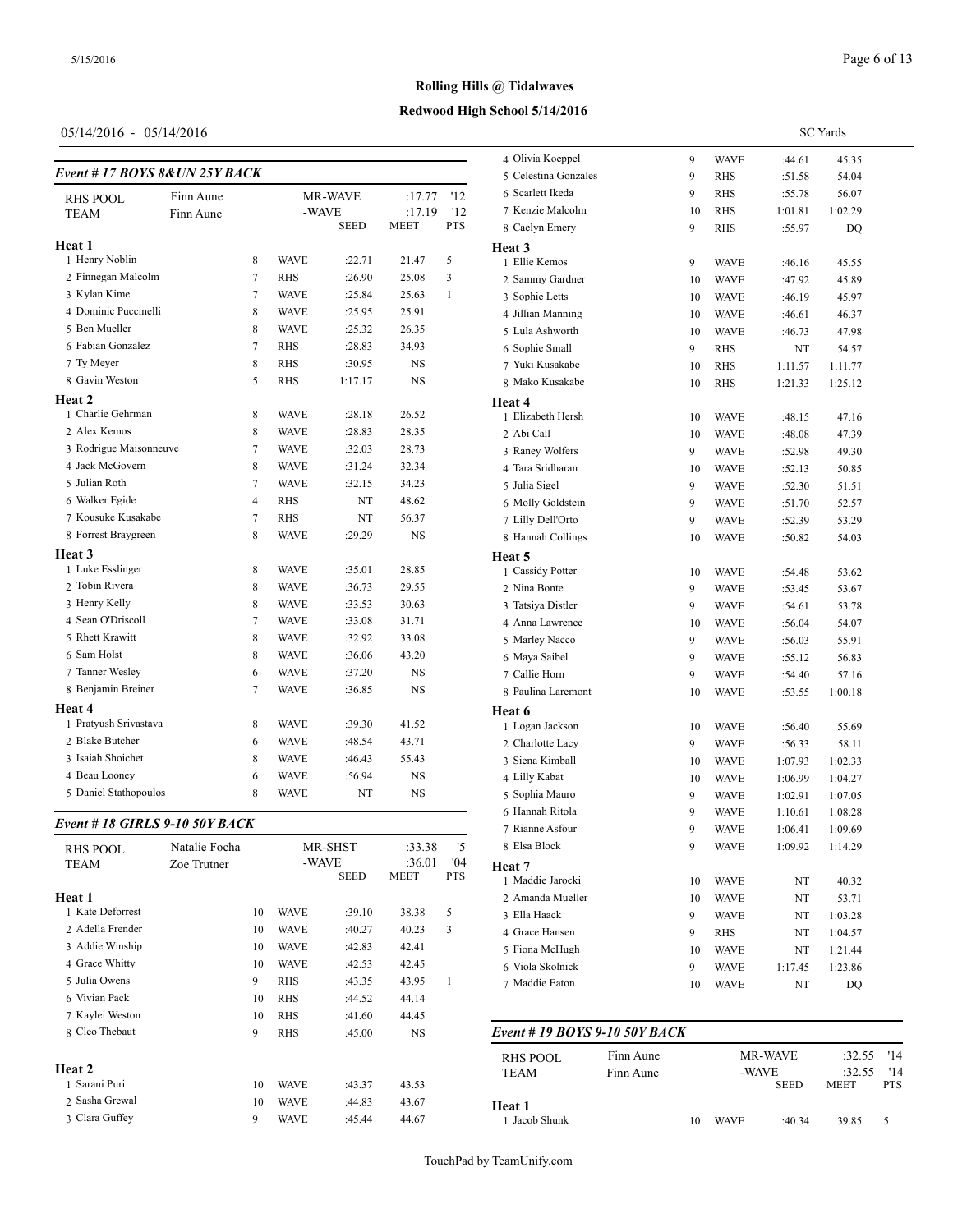# **Redwood High School 5/14/2016**

# 05/14/2016 - 05/14/2016

| Event #17 BOYS 8& UN 25Y BACK | 4 Olivia Roepper<br>5 Celestina Gonza |                |             |             |             |              |                   |
|-------------------------------|---------------------------------------|----------------|-------------|-------------|-------------|--------------|-------------------|
| Finn Aune<br><b>RHS POOL</b>  |                                       |                | MR-WAVE     |             | :17.77      | '12          | 6 Scarlett Ikeda  |
| <b>TEAM</b>                   | Finn Aune                             |                | -WAVE       |             | :17.19      | '12          | 7 Kenzie Malcolm  |
|                               |                                       |                |             | <b>SEED</b> | <b>MEET</b> | <b>PTS</b>   | 8 Caelyn Emery    |
| Heat 1                        |                                       |                |             |             |             |              | Heat 3            |
| 1 Henry Noblin                |                                       | 8              | <b>WAVE</b> | :22.71      | 21.47       | 5            | 1 Ellie Kemos     |
| 2 Finnegan Malcolm            |                                       | 7              | <b>RHS</b>  | :26.90      | 25.08       | 3            | 2 Sammy Gardner   |
| 3 Kylan Kime                  |                                       | 7              | <b>WAVE</b> | :25.84      | 25.63       | $\mathbf{1}$ | 3 Sophie Letts    |
| 4 Dominic Puccinelli          |                                       | 8              | <b>WAVE</b> | :25.95      | 25.91       |              | 4 Jillian Manning |
| 5 Ben Mueller                 |                                       | 8              | <b>WAVE</b> | :25.32      | 26.35       |              | 5 Lula Ashworth   |
| 6 Fabian Gonzalez             |                                       | 7              | <b>RHS</b>  | :28.83      | 34.93       |              | 6 Sophie Small    |
| 7 Ty Meyer                    |                                       | 8              | <b>RHS</b>  | :30.95      | <b>NS</b>   |              | 7 Yuki Kusakabe   |
| 8 Gavin Weston                |                                       | 5              | <b>RHS</b>  | 1:17.17     | <b>NS</b>   |              | 8 Mako Kusakabe   |
| Heat 2                        |                                       |                |             |             |             |              | Heat 4            |
| 1 Charlie Gehrman             |                                       | 8              | <b>WAVE</b> | :28.18      | 26.52       |              | 1 Elizabeth Hersh |
| 2 Alex Kemos                  |                                       | 8              | <b>WAVE</b> | :28.83      | 28.35       |              | 2 Abi Call        |
| 3 Rodrigue Maisonneuve        |                                       | $\tau$         | <b>WAVE</b> | :32.03      | 28.73       |              | 3 Raney Wolfers   |
| 4 Jack McGovern               |                                       | 8              | <b>WAVE</b> | :31.24      | 32.34       |              | 4 Tara Sridharan  |
| 5 Julian Roth                 |                                       | 7              | <b>WAVE</b> | :32.15      | 34.23       |              | 5 Julia Sigel     |
| 6 Walker Egide                |                                       | $\overline{4}$ | <b>RHS</b>  | NT          | 48.62       |              | 6 Molly Goldstein |
| 7 Kousuke Kusakabe            |                                       | $\tau$         | <b>RHS</b>  | NT          | 56.37       |              | 7 Lilly Dell'Orto |
| 8 Forrest Braygreen           |                                       | 8              | <b>WAVE</b> | :29.29      | <b>NS</b>   |              | 8 Hannah Collings |
| Heat 3                        |                                       |                |             |             |             |              | Heat 5            |
| 1 Luke Esslinger              |                                       | 8              | <b>WAVE</b> | :35.01      | 28.85       |              | 1 Cassidy Potter  |
| 2 Tobin Rivera                |                                       | 8              | <b>WAVE</b> | :36.73      | 29.55       |              | 2 Nina Bonte      |
| 3 Henry Kelly                 |                                       | 8              | <b>WAVE</b> | :33.53      | 30.63       |              | 3 Tatsiya Distler |
| 4 Sean O'Driscoll             |                                       | $\tau$         | <b>WAVE</b> | :33.08      | 31.71       |              | 4 Anna Lawrence   |
| 5 Rhett Krawitt               |                                       | 8              | <b>WAVE</b> | :32.92      | 33.08       |              | 5 Marley Nacco    |
| 6 Sam Holst                   |                                       | 8              | <b>WAVE</b> | :36.06      | 43.20       |              | 6 Maya Saibel     |
| 7 Tanner Wesley               |                                       | 6              | <b>WAVE</b> | :37.20      | <b>NS</b>   |              | 7 Callie Horn     |
| 8 Benjamin Breiner            |                                       | 7              | <b>WAVE</b> | :36.85      | <b>NS</b>   |              | 8 Paulina Laremor |
| Heat 4                        |                                       |                |             |             |             |              | Heat 6            |
| 1 Pratyush Srivastava         |                                       | 8              | <b>WAVE</b> | :39.30      | 41.52       |              | 1 Logan Jackson   |
| 2 Blake Butcher               |                                       | 6              | <b>WAVE</b> | :48.54      | 43.71       |              | 2 Charlotte Lacy  |
| 3 Isaiah Shoichet             |                                       | 8              | <b>WAVE</b> | :46.43      | 55.43       |              | 3 Siena Kimball   |
| 4 Beau Looney                 |                                       | 6              | <b>WAVE</b> | :56.94      | NS          |              | 4 Lilly Kabat     |
| 5 Daniel Stathopoulos         |                                       | 8              | <b>WAVE</b> | NT          | <b>NS</b>   |              | 5 Sophia Mauro    |

# *Event # 18 GIRLS 9-10 50Y BACK*

| <b>RHS POOL</b>  | Natalie Focha |    |             | MR-SHST     | :33.38         | '5                | 8 Elsa Block                   |
|------------------|---------------|----|-------------|-------------|----------------|-------------------|--------------------------------|
| <b>TEAM</b>      | Zoe Trutner   |    | -WAVE       | <b>SEED</b> | :36.01<br>MEET | 04'<br><b>PTS</b> | Heat 7<br>1 Maddie Jarocki     |
| <b>Heat 1</b>    |               |    |             |             |                |                   | 2 Amanda Muelle                |
| 1 Kate Deforrest |               | 10 | <b>WAVE</b> | :39.10      | 38.38          | 5                 | 3 Ella Haack                   |
| 2 Adella Frender |               | 10 | <b>WAVE</b> | :40.27      | 40.23          | 3                 | 4 Grace Hansen                 |
| 3 Addie Winship  |               | 10 | <b>WAVE</b> | :42.83      | 42.41          |                   | 5 Fiona McHugh                 |
| 4 Grace Whitty   |               | 10 | <b>WAVE</b> | :42.53      | 42.45          |                   | 6 Viola Skolnick               |
| 5 Julia Owens    |               | 9  | <b>RHS</b>  | :43.35      | 43.95          | 1                 | 7 Maddie Eaton                 |
| 6 Vivian Pack    |               | 10 | <b>RHS</b>  | :44.52      | 44.14          |                   |                                |
| 7 Kaylei Weston  |               | 10 | <b>RHS</b>  | :41.60      | 44.45          |                   |                                |
| 8 Cleo Thebaut   |               | 9  | <b>RHS</b>  | :45.00      | NS             |                   | Event # 19 $BOY$               |
| Heat 2           |               |    |             |             |                |                   | <b>RHS POOL</b><br><b>TEAM</b> |
| 1 Sarani Puri    |               | 10 | <b>WAVE</b> | :43.37      | 43.53          |                   |                                |
| 2 Sasha Grewal   |               | 10 | <b>WAVE</b> | :44.83      | 43.67          |                   | <b>Heat 1</b>                  |
| 3 Clara Guffey   |               | 9  | <b>WAVE</b> | :45.44      | 44.67          |                   | 1 Jacob Shunk                  |

|                      |    |             |         | <b>SC</b> Yards |
|----------------------|----|-------------|---------|-----------------|
| 4 Olivia Koeppel     | 9  | WAVE        | :44.61  | 45.35           |
| 5 Celestina Gonzales | 9  | <b>RHS</b>  | :51.58  | 54.04           |
| 6 Scarlett Ikeda     | 9  | <b>RHS</b>  | :55.78  | 56.07           |
| 7 Kenzie Malcolm     | 10 | RHS         | 1:01.81 | 1:02.29         |
| 8 Caelyn Emery       | 9  | RHS         | :55.97  | DQ              |
| Heat 3               |    |             |         |                 |
| 1 Ellie Kemos        | 9  | WAVE        | :46.16  | 45.55           |
| 2 Sammy Gardner      | 10 | WAVE        | :47.92  | 45.89           |
| 3 Sophie Letts       | 10 | <b>WAVE</b> | :46.19  | 45.97           |
| 4 Jillian Manning    | 10 | <b>WAVE</b> | :46.61  | 46.37           |
| 5 Lula Ashworth      | 10 | <b>WAVE</b> | :46.73  | 47.98           |
| 6 Sophie Small       | 9  | RHS         | NT      | 54.57           |
| 7 Yuki Kusakabe      | 10 | RHS         | 1:11.57 | 1:11.77         |
| 8 Mako Kusakabe      | 10 | <b>RHS</b>  | 1:21.33 | 1:25.12         |
| Heat 4               |    |             |         |                 |
| 1 Elizabeth Hersh    | 10 | WAVE        | :48.15  | 47.16           |
| 2 Abi Call           | 10 | WAVE        | :48.08  | 47.39           |
| 3 Raney Wolfers      | 9  | WAVE        | :52.98  | 49.30           |
| 4 Tara Sridharan     | 10 | <b>WAVE</b> | :52.13  | 50.85           |
| 5 Julia Sigel        | 9  | <b>WAVE</b> | :52.30  | 51.51           |
| 6 Molly Goldstein    | 9  | WAVE        | :51.70  | 52.57           |
| 7 Lilly Dell'Orto    | 9  | <b>WAVE</b> | :52.39  | 53.29           |
| 8 Hannah Collings    | 10 | WAVE        | :50.82  | 54.03           |
| Heat 5               |    |             |         |                 |
| 1 Cassidy Potter     | 10 | WAVE        | :54.48  | 53.62           |
| 2 Nina Bonte         | 9  | WAVE        | :53.45  | 53.67           |
| 3 Tatsiya Distler    | 9  | WAVE        | :54.61  | 53.78           |
| 4 Anna Lawrence      | 10 | WAVE        | :56.04  | 54.07           |
| 5 Marley Nacco       | 9  | WAVE        | :56.03  | 55.91           |
| 6 Maya Saibel        | 9  | WAVE        | :55.12  | 56.83           |
| 7 Callie Horn        | 9  | WAVE        | :54.40  | 57.16           |
| 8 Paulina Laremont   | 10 | WAVE        | :53.55  | 1:00.18         |
| Heat 6               |    |             |         |                 |
| 1 Logan Jackson      | 10 | WAVE        | :56.40  | 55.69           |
| 2 Charlotte Lacy     | 9  | <b>WAVE</b> | :56.33  | 58.11           |
| 3 Siena Kimball      | 10 | <b>WAVE</b> | 1:07.93 | 1:02.33         |
| 4 Lilly Kabat        | 10 | WAVE        | 1:06.99 | 1:04.27         |
| 5 Sophia Mauro       | 9  | WAVE        | 1:02.91 | 1:07.05         |
| 6 Hannah Ritola      | 9  | WAVE        | 1:10.61 | 1:08.28         |
| 7 Rianne Asfour      | 9  | <b>WAVE</b> | 1:06.41 | 1:09.69         |
| 8 Elsa Block         | 9  | WAVE        | 1:09.92 | 1:14.29         |
| Heat 7               |    |             |         |                 |
| 1 Maddie Jarocki     | 10 | WAVE        | NT      | 40.32           |
| 2 Amanda Mueller     | 10 | WAVE        | NT      | 53.71           |
| 3 Ella Haack         | 9  | WAVE        | NT      | 1:03.28         |
| 4 Grace Hansen       | 9  | RHS         | NT      | 1:04.57         |
| 5 Fiona McHugh       | 10 | WAVE        | NT      | 1:21.44         |
| 6 Viola Skolnick     | 9  | WAVE        | 1:17.45 | 1:23.86         |
|                      |    |             |         |                 |

| Event #19 BOYS 9-10 50Y BACK |           |                      |                |                       |                   |    |  |
|------------------------------|-----------|----------------------|----------------|-----------------------|-------------------|----|--|
| RHS POOL                     | Finn Aune |                      | <b>MR-WAVE</b> |                       | $:32.55$ '14      |    |  |
| TEAM                         | Finn Aune | -WAVE<br><b>SEED</b> |                | :32.55<br><b>MEET</b> | '14<br><b>PTS</b> |    |  |
| Heat 1<br>1 Jacob Shunk      |           | 10                   | <b>WAVE</b>    | :40.34                | 39.85             | 5. |  |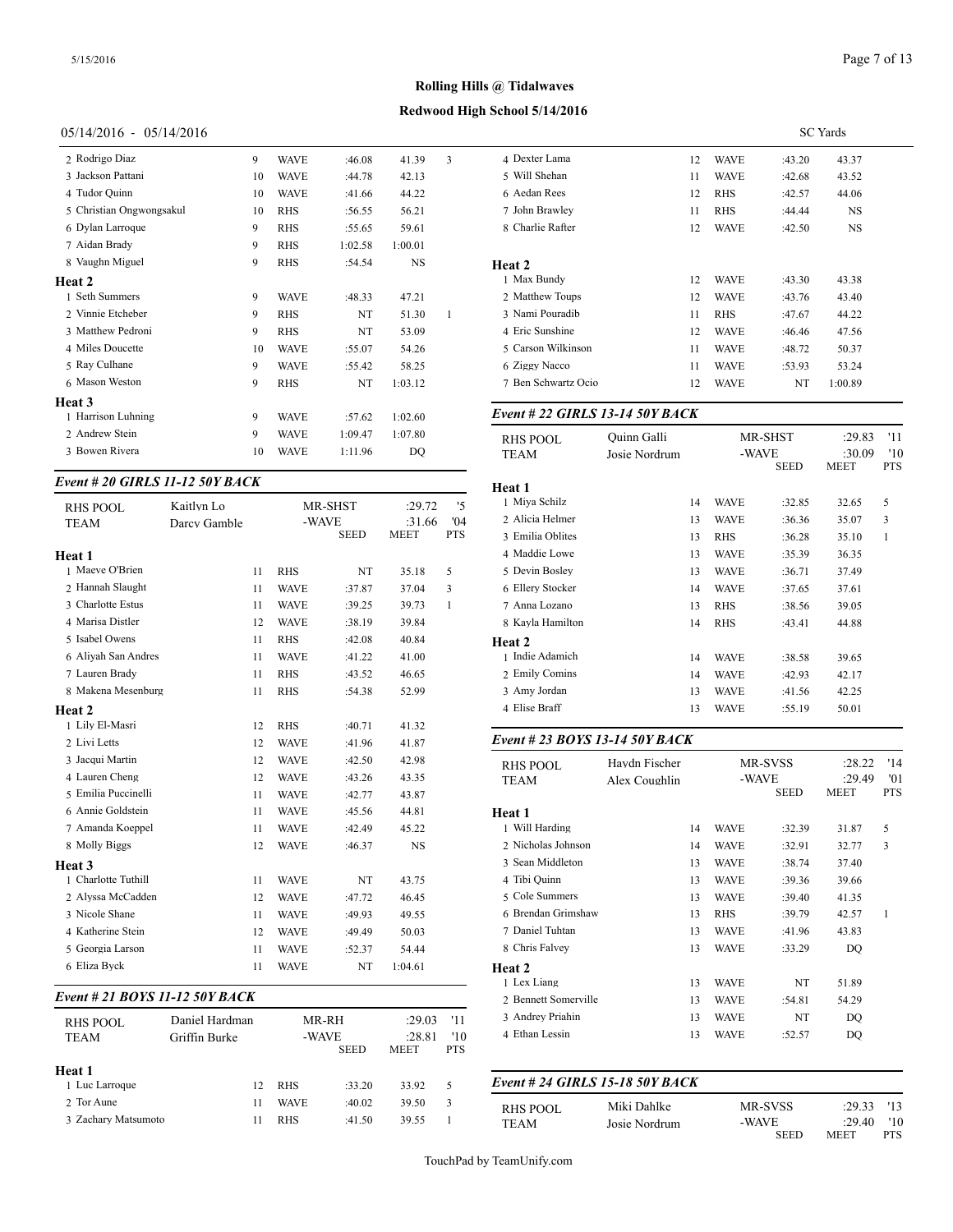# **Redwood High School 5/14/2016**

#### 05/14/2016 - 05/14/2016

| 2 Rodrigo Diaz           | 9  | <b>WAVE</b> | :46.08  | 41.39     | 3 | 4 Dexter Lama    |
|--------------------------|----|-------------|---------|-----------|---|------------------|
| 3 Jackson Pattani        | 10 | <b>WAVE</b> | :44.78  | 42.13     |   | 5 Will Shehan    |
| 4 Tudor Quinn            | 10 | <b>WAVE</b> | :41.66  | 44.22     |   | 6 Aedan Rees     |
| 5 Christian Ongwongsakul | 10 | <b>RHS</b>  | :56.55  | 56.21     |   | 7 John Brawley   |
| 6 Dylan Larroque         | 9  | <b>RHS</b>  | :55.65  | 59.61     |   | 8 Charlie Rafter |
| 7 Aidan Brady            | 9  | <b>RHS</b>  | 1:02.58 | 1:00.01   |   |                  |
| 8 Vaughn Miguel          | 9  | <b>RHS</b>  | :54.54  | <b>NS</b> |   | Heat 2           |
| <b>Heat 2</b>            |    |             |         |           |   | 1 Max Bundy      |
| 1 Seth Summers           | 9  | <b>WAVE</b> | :48.33  | 47.21     |   | 2 Matthew Tour   |
| 2 Vinnie Etcheber        | 9  | <b>RHS</b>  | NT      | 51.30     | 1 | 3 Nami Pouradi   |
| 3 Matthew Pedroni        | 9  | <b>RHS</b>  | NT      | 53.09     |   | 4 Eric Sunshine  |
| 4 Miles Doucette         | 10 | <b>WAVE</b> | :55.07  | 54.26     |   | 5 Carson Wilkin  |
| 5 Ray Culhane            | 9  | <b>WAVE</b> | :55.42  | 58.25     |   | 6 Ziggy Nacco    |
| 6 Mason Weston           | 9  | <b>RHS</b>  | NT      | 1:03.12   |   | 7 Ben Schwartz   |
| Heat 3                   |    |             |         |           |   |                  |
| 1 Harrison Luhning       | 9  | <b>WAVE</b> | :57.62  | 1:02.60   |   | Event # 22 GII   |
| 2 Andrew Stein           | 9  | <b>WAVE</b> | 1:09.47 | 1:07.80   |   | <b>RHS POOL</b>  |
| 3 Bowen Rivera           | 10 | <b>WAVE</b> | 1:11.96 | DO        |   | <b>TEAM</b>      |
|                          |    |             |         |           |   |                  |

# *Event # 20 GIRLS 11-12 50Y BACK*

| <b>RHS POOL</b>     | Kaitlyn Lo   |    |             | MR-SHST     | :29.72      | '5           | 1 Miya Schilz     |
|---------------------|--------------|----|-------------|-------------|-------------|--------------|-------------------|
| <b>TEAM</b>         | Darcy Gamble |    | -WAVE       |             | :31.66      | '04          | 2 Alicia Helmer   |
|                     |              |    |             | <b>SEED</b> | <b>MEET</b> | <b>PTS</b>   | 3 Emilia Oblites  |
| <b>Heat 1</b>       |              |    |             |             |             |              | 4 Maddie Lowe     |
| 1 Maeve O'Brien     |              | 11 | <b>RHS</b>  | NT          | 35.18       | 5            | 5 Devin Bosley    |
| 2 Hannah Slaught    |              | 11 | <b>WAVE</b> | :37.87      | 37.04       | 3            | 6 Ellery Stocker  |
| 3 Charlotte Estus   |              | 11 | <b>WAVE</b> | :39.25      | 39.73       | $\mathbf{1}$ | 7 Anna Lozano     |
| 4 Marisa Distler    |              | 12 | <b>WAVE</b> | :38.19      | 39.84       |              | 8 Kayla Hamilton  |
| 5 Isabel Owens      |              | 11 | <b>RHS</b>  | :42.08      | 40.84       |              | Heat 2            |
| 6 Aliyah San Andres |              | 11 | <b>WAVE</b> | :41.22      | 41.00       |              | 1 Indie Adamich   |
| 7 Lauren Brady      |              | 11 | <b>RHS</b>  | :43.52      | 46.65       |              | 2 Emily Comins    |
| 8 Makena Mesenburg  |              | 11 | <b>RHS</b>  | :54.38      | 52.99       |              | 3 Amy Jordan      |
| Heat 2              |              |    |             |             |             |              | 4 Elise Braff     |
| 1 Lily El-Masri     |              | 12 | <b>RHS</b>  | :40.71      | 41.32       |              |                   |
| 2 Livi Letts        |              | 12 | <b>WAVE</b> | :41.96      | 41.87       |              | Event # 23 BOY.   |
| 3 Jacqui Martin     |              | 12 | <b>WAVE</b> | :42.50      | 42.98       |              | <b>RHS POOL</b>   |
| 4 Lauren Cheng      |              | 12 | <b>WAVE</b> | :43.26      | 43.35       |              | <b>TEAM</b>       |
| 5 Emilia Puccinelli |              | 11 | <b>WAVE</b> | :42.77      | 43.87       |              |                   |
| 6 Annie Goldstein   |              | 11 | <b>WAVE</b> | :45.56      | 44.81       |              | Heat 1            |
| 7 Amanda Koeppel    |              | 11 | <b>WAVE</b> | :42.49      | 45.22       |              | 1 Will Harding    |
| 8 Molly Biggs       |              | 12 | <b>WAVE</b> | :46.37      | <b>NS</b>   |              | 2 Nicholas Johnso |
| Heat 3              |              |    |             |             |             |              | 3 Sean Middleton  |
| 1 Charlotte Tuthill |              | 11 | <b>WAVE</b> | NT          | 43.75       |              | 4 Tibi Quinn      |
| 2 Alyssa McCadden   |              | 12 | <b>WAVE</b> | :47.72      | 46.45       |              | 5 Cole Summers    |
| 3 Nicole Shane      |              | 11 | <b>WAVE</b> | :49.93      | 49.55       |              | 6 Brendan Grimsh  |
| 4 Katherine Stein   |              | 12 | <b>WAVE</b> | :49.49      | 50.03       |              | 7 Daniel Tuhtan   |
| 5 Georgia Larson    |              | 11 | <b>WAVE</b> | :52.37      | 54.44       |              | 8 Chris Falvey    |
| 6 Eliza Byck        |              | 11 | <b>WAVE</b> | NT          | 1:04.61     |              | Heat 2            |
|                     |              |    |             |             |             |              |                   |

#### *Event # 21 BOYS 11-12 50Y BACK*

| <b>RHS POOL</b><br><b>TEAM</b> | Daniel Hardman<br>Griffin Burke |             | MR-RH<br>-WAVE<br><b>SEED</b> | :29.03<br>:28.81<br><b>MEET</b> | '11<br>'10<br><b>PTS</b> | 3 Andrey Priahin<br>4 Ethan Lessin | 13<br>13                        | <b>WAVE</b><br><b>WAVE</b> | NT<br>:52.57 | DO<br>DO |
|--------------------------------|---------------------------------|-------------|-------------------------------|---------------------------------|--------------------------|------------------------------------|---------------------------------|----------------------------|--------------|----------|
| Heat 1<br>1 Luc Larroque       | 12                              | <b>RHS</b>  | :33.20                        | 33.92                           |                          |                                    | Event # 24 GIRLS 15-18 50Y BACK |                            |              |          |
| 2 Tor Aune                     |                                 | <b>WAVE</b> | :40.02                        | 39.50                           |                          | RHS POOL                           | Miki Dahlke                     |                            | MR-SVSS      | :29.33   |
| 3 Zachary Matsumoto            | 11                              | <b>RHS</b>  | :41.50                        | 39.55                           |                          | <b>TEAM</b>                        | Josie Nordrum                   | -WAVE                      |              | :29.40   |

|                     | <b>SC</b> Yards |             |        |           |  |  |  |  |  |
|---------------------|-----------------|-------------|--------|-----------|--|--|--|--|--|
| 4 Dexter Lama       | 12              | WAVE        | :43.20 | 43.37     |  |  |  |  |  |
| 5 Will Shehan       | 11              | <b>WAVE</b> | :42.68 | 43.52     |  |  |  |  |  |
| 6 Aedan Rees        | 12              | <b>RHS</b>  | :42.57 | 44.06     |  |  |  |  |  |
| 7 John Brawley      | 11              | <b>RHS</b>  | :44.44 | <b>NS</b> |  |  |  |  |  |
| 8 Charlie Rafter    | 12              | <b>WAVE</b> | :42.50 | <b>NS</b> |  |  |  |  |  |
| Heat 2              |                 |             |        |           |  |  |  |  |  |
| 1 Max Bundy         | 12              | <b>WAVE</b> | :43.30 | 43.38     |  |  |  |  |  |
| 2 Matthew Toups     | 12              | <b>WAVE</b> | :43.76 | 43.40     |  |  |  |  |  |
| 3 Nami Pouradib     | 11              | <b>RHS</b>  | :47.67 | 44.22     |  |  |  |  |  |
| 4 Eric Sunshine     | 12              | <b>WAVE</b> | :46.46 | 47.56     |  |  |  |  |  |
| 5 Carson Wilkinson  | 11              | <b>WAVE</b> | :48.72 | 50.37     |  |  |  |  |  |
| 6 Ziggy Nacco       | 11              | <b>WAVE</b> | :53.93 | 53.24     |  |  |  |  |  |
| 7 Ben Schwartz Ocio | 12              | <b>WAVE</b> | NT     | 1:00.89   |  |  |  |  |  |
|                     |                 |             |        |           |  |  |  |  |  |

#### *Event # 22 GIRLS 13-14 50Y BACK*

| <b>RHS POOL</b><br><b>TEAM</b> | Ouinn Galli<br>Josie Nordrum |    | MR-SHST<br>-WAVE | <b>SEED</b> | :29.83<br>:30.09<br><b>MEET</b> | '11<br>'10<br><b>PTS</b> |
|--------------------------------|------------------------------|----|------------------|-------------|---------------------------------|--------------------------|
| Heat 1                         |                              |    |                  |             |                                 |                          |
| 1 Miya Schilz                  |                              | 14 | <b>WAVE</b>      | :32.85      | 32.65                           | 5                        |
| 2 Alicia Helmer                |                              | 13 | <b>WAVE</b>      | :36.36      | 35.07                           | 3                        |
| 3 Emilia Oblites               |                              | 13 | <b>RHS</b>       | :36.28      | 35.10                           | 1                        |
| 4 Maddie Lowe                  |                              | 13 | <b>WAVE</b>      | :35.39      | 36.35                           |                          |
| 5 Devin Bosley                 |                              | 13 | <b>WAVE</b>      | :36.71      | 37.49                           |                          |
| 6 Ellery Stocker               |                              | 14 | <b>WAVE</b>      | :37.65      | 37.61                           |                          |
| 7 Anna Lozano                  |                              | 13 | <b>RHS</b>       | :38.56      | 39.05                           |                          |
| 8 Kayla Hamilton               |                              | 14 | <b>RHS</b>       | :43.41      | 44.88                           |                          |
| Heat 2                         |                              |    |                  |             |                                 |                          |
| 1 Indie Adamich                |                              | 14 | <b>WAVE</b>      | :38.58      | 39.65                           |                          |
| 2 Emily Comins                 |                              | 14 | <b>WAVE</b>      | :42.93      | 42.17                           |                          |
| 3 Amy Jordan                   |                              | 13 | <b>WAVE</b>      | :41.56      | 42.25                           |                          |
| 4 Elise Braff                  |                              | 13 | <b>WAVE</b>      | :55.19      | 50.01                           |                          |
|                                |                              |    |                  |             |                                 |                          |

#### *Event # 23 BOYS 13-14 50Y BACK*

|                      | Haydn Fischer<br>Alex Coughlin |    |                      | MR-SVSS | :28.22                | '14               |
|----------------------|--------------------------------|----|----------------------|---------|-----------------------|-------------------|
| <b>RHS POOL</b>      |                                |    |                      |         |                       |                   |
| <b>TEAM</b>          |                                |    | -WAVE<br><b>SEED</b> |         | :29.49<br><b>MEET</b> | '01<br><b>PTS</b> |
|                      |                                |    |                      |         |                       |                   |
| Heat 1               |                                |    |                      |         |                       |                   |
| 1 Will Harding       |                                | 14 | <b>WAVE</b>          | :32.39  | 31.87                 | 5                 |
| 2 Nicholas Johnson   |                                | 14 | <b>WAVE</b>          | :32.91  | 32.77                 | 3                 |
| 3 Sean Middleton     |                                | 13 | <b>WAVE</b>          | :38.74  | 37.40                 |                   |
| 4 Tibi Quinn         |                                | 13 | <b>WAVE</b>          | :39.36  | 39.66                 |                   |
| 5 Cole Summers       |                                | 13 | <b>WAVE</b>          | :39.40  | 41.35                 |                   |
| 6 Brendan Grimshaw   |                                | 13 | <b>RHS</b>           | :39.79  | 42.57                 | 1                 |
| 7 Daniel Tuhtan      |                                | 13 | <b>WAVE</b>          | :41.96  | 43.83                 |                   |
| 8 Chris Falvey       |                                | 13 | <b>WAVE</b>          | :33.29  | DQ                    |                   |
| <b>Heat 2</b>        |                                |    |                      |         |                       |                   |
| 1 Lex Liang          |                                | 13 | <b>WAVE</b>          | NT      | 51.89                 |                   |
| 2 Bennett Somerville |                                | 13 | <b>WAVE</b>          | :54.81  | 54.29                 |                   |
| 3 Andrey Priahin     |                                | 13 | <b>WAVE</b>          | NT      | DO                    |                   |
| 4 Ethan Lessin       |                                | 13 | <b>WAVE</b>          | :52.57  | DQ                    |                   |
|                      |                                |    |                      |         |                       |                   |

| RHS POOL | Miki Dahlke   | MR-SVSS | $:29.33$ '13 |     |
|----------|---------------|---------|--------------|-----|
| TEAM     | Josie Nordrum | -WAVE   | :29.40       | '10 |
|          |               | SEED    | MEET         | PTS |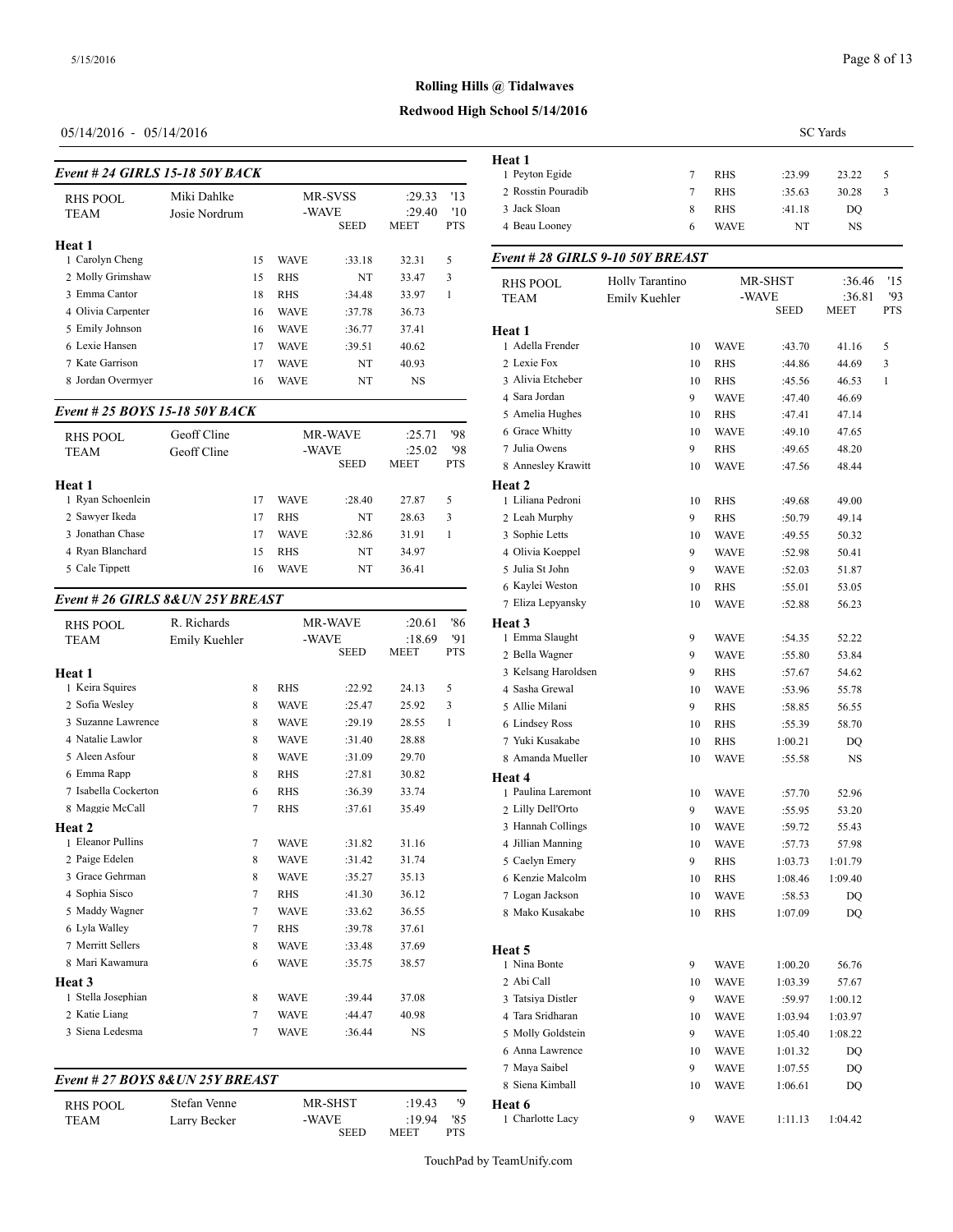# **Redwood High School 5/14/2016**

# 05/14/2016 - 05/14/2016

|                                 |    |                                        |        |                                 |                                  | <b>Heat 1</b>                                       |  |  |  |
|---------------------------------|----|----------------------------------------|--------|---------------------------------|----------------------------------|-----------------------------------------------------|--|--|--|
| Event # 24 GIRLS 15-18 50Y BACK |    |                                        |        |                                 |                                  |                                                     |  |  |  |
| Miki Dahlke<br>Josie Nordrum    |    | <b>MR-SVSS</b><br>-WAVE<br><b>SEED</b> |        | :29.33<br>:29.40<br><b>MEET</b> | 13<br>$10^{\circ}$<br><b>PTS</b> | 2 Rosstin Pouradil<br>3 Jack Sloan<br>4 Beau Loonev |  |  |  |
|                                 |    |                                        |        |                                 |                                  |                                                     |  |  |  |
|                                 | 15 | <b>WAVE</b>                            | :33.18 | 32.31                           | 5                                | Event # 28 GIRI                                     |  |  |  |
|                                 | 15 | RHS                                    | NT     | 33.47                           | 3                                | RHS POOL                                            |  |  |  |
|                                 | 18 | <b>RHS</b>                             | :34.48 | 33.97                           |                                  | <b>TEAM</b>                                         |  |  |  |
|                                 | 16 | <b>WAVE</b>                            | :37.78 | 36.73                           |                                  |                                                     |  |  |  |
|                                 | 16 | <b>WAVE</b>                            | :36.77 | 37.41                           |                                  | Heat 1                                              |  |  |  |
|                                 | 17 | <b>WAVE</b>                            | :39.51 | 40.62                           |                                  | 1 Adella Frender                                    |  |  |  |
|                                 | 17 | <b>WAVE</b>                            | NT     | 40.93                           |                                  | 2 Lexie Fox                                         |  |  |  |
|                                 | 16 | <b>WAVE</b>                            | NT     | NS                              |                                  | 3 Alivia Etcheber                                   |  |  |  |
|                                 |    |                                        |        |                                 |                                  |                                                     |  |  |  |

# *Event # 25 BOYS 15-18 50Y BACK*

| RHS POOL<br><b>TEAM</b> | Geoff Cline<br>Geoff Cline |    | -WAVE       | <b>MR-WAVE</b><br><b>SEED</b> | :25.71<br>:25.02<br><b>MEET</b> | '98<br>'98<br><b>PTS</b> | 6 Grace Whitty<br>7 Julia Owens<br>8 Anneslev Krawi |
|-------------------------|----------------------------|----|-------------|-------------------------------|---------------------------------|--------------------------|-----------------------------------------------------|
| Heat 1                  |                            |    |             |                               |                                 |                          | <b>Heat 2</b>                                       |
| 1 Ryan Schoenlein       |                            | 17 | <b>WAVE</b> | :28.40                        | 27.87                           | 5                        | 1 Liliana Pedroni                                   |
| 2 Sawyer Ikeda          |                            | 17 | <b>RHS</b>  | NT                            | 28.63                           | 3                        | 2 Leah Murphy                                       |
| 3 Jonathan Chase        |                            | 17 | <b>WAVE</b> | :32.86                        | 31.91                           |                          | 3 Sophie Letts                                      |
| 4 Rvan Blanchard        |                            | 15 | <b>RHS</b>  | NT                            | 34.97                           |                          | 4 Olivia Koeppel                                    |
| 5 Cale Tippett          |                            | 16 | <b>WAVE</b> | NT                            | 36.41                           |                          | 5 Julia St John                                     |

#### *Event # 26 GIRLS 8&UN 25Y BREAST*

| 6 Lyla Walley<br>7 Merritt Sellers<br>8 Mari Kawamura                                                   |                              | $\overline{7}$<br>8<br>6 | <b>RHS</b><br><b>WAVE</b><br><b>WAVE</b>                               | :39.78<br>:33.48<br>:35.75                     | 37.61<br>37.69<br>38.57                   |                          | Heat 5<br>1 Nina Bonte                                                                                        |
|---------------------------------------------------------------------------------------------------------|------------------------------|--------------------------|------------------------------------------------------------------------|------------------------------------------------|-------------------------------------------|--------------------------|---------------------------------------------------------------------------------------------------------------|
| 4 Sophia Sisco<br>5 Maddy Wagner                                                                        |                              | 7<br>$\overline{7}$      | <b>RHS</b><br><b>WAVE</b>                                              | :41.30<br>:33.62                               | 36.12<br>36.55                            |                          | 7 Logan Jackson<br>8 Mako Kusakabe                                                                            |
| 1 Eleanor Pullins<br>2 Paige Edelen<br>3 Grace Gehrman                                                  |                              | $\tau$<br>8<br>8         | <b>WAVE</b><br><b>WAVE</b><br><b>WAVE</b>                              | :31.82<br>:31.42<br>:35.27                     | 31.16<br>31.74<br>35.13                   |                          | 4 Jillian Manning<br>5 Caelyn Emery<br>6 Kenzie Malcolm                                                       |
| 6 Emma Rapp<br>7 Isabella Cockerton<br>8 Maggie McCall<br>Heat 2                                        |                              | 8<br>6<br>7              | <b>RHS</b><br><b>RHS</b><br><b>RHS</b>                                 | :27.81<br>:36.39<br>:37.61                     | 30.82<br>33.74<br>35.49                   |                          | Heat 4<br>1 Paulina Laremor<br>2 Lilly Dell'Orto<br>3 Hannah Collings                                         |
| Heat 1<br>1 Keira Squires<br>2 Sofia Wesley<br>3 Suzanne Lawrence<br>4 Natalie Lawlor<br>5 Aleen Asfour |                              | 8<br>8<br>8<br>8<br>8    | <b>RHS</b><br><b>WAVE</b><br><b>WAVE</b><br><b>WAVE</b><br><b>WAVE</b> | :22.92<br>:25.47<br>:29.19<br>:31.40<br>:31.09 | 24.13<br>25.92<br>28.55<br>28.88<br>29.70 | 5<br>3<br>1              | 3 Kelsang Harolds<br>4 Sasha Grewal<br>5 Allie Milani<br>6 Lindsev Ross<br>7 Yuki Kusakabe<br>8 Amanda Muelle |
| <b>RHS POOL</b><br><b>TEAM</b>                                                                          | R. Richards<br>Emily Kuehler |                          | -WAVE                                                                  | <b>MR-WAVE</b><br><b>SEED</b>                  | :20.61<br>:18.69<br><b>MEET</b>           | '86<br>'91<br><b>PTS</b> | Heat 3<br>1 Emma Slaught<br>2 Bella Wagner                                                                    |

| RHS POOL | Stefan Venne | MR-SHST | :19.43       |            | Heat 6           |
|----------|--------------|---------|--------------|------------|------------------|
| TEAM     | Larry Becker | -WAVE   | $:19.94$ '85 |            | 1 Charlotte Lacy |
|          |              | SEED    | MEET         | <b>PTS</b> |                  |

|                                  |                 |        | <b>SC</b> Yards            |                    |                       |                   |
|----------------------------------|-----------------|--------|----------------------------|--------------------|-----------------------|-------------------|
| Heat 1                           |                 |        |                            |                    |                       |                   |
| 1 Peyton Egide                   |                 | 7      | <b>RHS</b>                 | :23.99             | 23.22                 | 5                 |
| 2 Rosstin Pouradib               |                 | $\tau$ | <b>RHS</b>                 | :35.63             | 30.28                 | 3                 |
| 3 Jack Sloan                     |                 | 8      | <b>RHS</b>                 | :41.18             | DQ                    |                   |
| 4 Beau Looney                    |                 | 6      | <b>WAVE</b>                | NT                 | NS                    |                   |
| Event # 28 GIRLS 9-10 50Y BREAST |                 |        |                            |                    |                       |                   |
| <b>RHS POOL</b>                  | Holly Tarantino |        |                            | MR-SHST            | :36.46                | '15               |
| TEAM                             | Emily Kuehler   |        | -WAVE                      | <b>SEED</b>        | :36.81<br><b>MEET</b> | '93<br><b>PTS</b> |
| Heat 1                           |                 |        |                            |                    |                       |                   |
| 1 Adella Frender                 |                 | 10     | <b>WAVE</b>                | :43.70             | 41.16                 | 5                 |
| 2 Lexie Fox                      |                 | 10     | <b>RHS</b>                 | :44.86             | 44.69                 | 3                 |
| 3 Alivia Etcheber                |                 | 10     | <b>RHS</b>                 | :45.56             | 46.53                 | 1                 |
| 4 Sara Jordan                    |                 | 9      | <b>WAVE</b>                | :47.40             | 46.69                 |                   |
| 5 Amelia Hughes                  |                 | 10     | <b>RHS</b>                 | :47.41             | 47.14                 |                   |
| 6 Grace Whitty                   |                 | 10     | <b>WAVE</b>                | :49.10             | 47.65                 |                   |
| 7 Julia Owens                    |                 | 9      | <b>RHS</b>                 | :49.65             | 48.20                 |                   |
| 8 Annesley Krawitt               |                 | 10     | <b>WAVE</b>                | :47.56             | 48.44                 |                   |
| Heat 2                           |                 |        |                            |                    |                       |                   |
| 1 Liliana Pedroni                |                 | 10     | <b>RHS</b>                 | :49.68             | 49.00                 |                   |
| 2 Leah Murphy                    |                 | 9      | <b>RHS</b>                 | :50.79             | 49.14                 |                   |
| 3 Sophie Letts                   |                 | 10     | <b>WAVE</b>                | :49.55             | 50.32                 |                   |
| 4 Olivia Koeppel                 |                 | 9      | <b>WAVE</b>                | :52.98             | 50.41                 |                   |
| 5 Julia St John                  |                 | 9      | <b>WAVE</b>                | :52.03             | 51.87                 |                   |
| 6 Kaylei Weston                  |                 | 10     | <b>RHS</b>                 | :55.01             | 53.05                 |                   |
| 7 Eliza Lepyansky<br>Heat 3      |                 | 10     | <b>WAVE</b>                | :52.88             | 56.23                 |                   |
| 1 Emma Slaught                   |                 | 9      | <b>WAVE</b>                | :54.35             | 52.22                 |                   |
| 2 Bella Wagner                   |                 | 9      | <b>WAVE</b>                | :55.80             | 53.84                 |                   |
| 3 Kelsang Haroldsen              |                 | 9      | <b>RHS</b>                 | :57.67             | 54.62                 |                   |
| 4 Sasha Grewal                   |                 | 10     | <b>WAVE</b>                | :53.96             | 55.78                 |                   |
| 5 Allie Milani                   |                 | 9      | <b>RHS</b>                 | :58.85             | 56.55                 |                   |
| 6 Lindsey Ross                   |                 | 10     | <b>RHS</b>                 | :55.39             | 58.70                 |                   |
| 7 Yuki Kusakabe                  |                 | 10     | <b>RHS</b>                 | 1:00.21            | DO                    |                   |
| 8 Amanda Mueller                 |                 | 10     | <b>WAVE</b>                | :55.58             | NS                    |                   |
| Heat 4                           |                 |        |                            |                    |                       |                   |
| 1 Paulina Laremont               |                 | 10     | <b>WAVE</b>                | :57.70             | 52.96                 |                   |
| 2 Lilly Dell'Orto                |                 | 9      | <b>WAVE</b>                | :55.95             | 53.20                 |                   |
| 3 Hannah Collings                |                 | 10     | <b>WAVE</b>                | :59.72             | 55.43                 |                   |
| 4 Jillian Manning                |                 | 10     | <b>WAVE</b>                | :57.73             | 57.98                 |                   |
| 5 Caelyn Emery                   |                 | 9      | RHS                        | 1:03.73            | 1:01.79               |                   |
| 6 Kenzie Malcolm                 |                 | 10     | RHS                        | 1:08.46            | 1:09.40               |                   |
| 7 Logan Jackson                  |                 | 10     | <b>WAVE</b>                | :58.53             | DQ                    |                   |
| 8 Mako Kusakabe                  |                 | 10     | RHS                        | 1:07.09            | DQ                    |                   |
|                                  |                 |        |                            |                    |                       |                   |
| Heat 5<br>1 Nina Bonte           |                 | 9      | WAVE                       | 1:00.20            | 56.76                 |                   |
| 2 Abi Call                       |                 | 10     | WAVE                       | 1:03.39            | 57.67                 |                   |
| 3 Tatsiya Distler                |                 | 9      | <b>WAVE</b>                | :59.97             | 1:00.12               |                   |
| 4 Tara Sridharan                 |                 | 10     | <b>WAVE</b>                | 1:03.94            | 1:03.97               |                   |
| 5 Molly Goldstein                |                 | 9      | <b>WAVE</b>                | 1:05.40            | 1:08.22               |                   |
| 6 Anna Lawrence                  |                 | 10     | <b>WAVE</b>                | 1:01.32            | DQ                    |                   |
| 7 Maya Saibel                    |                 | 9      |                            |                    |                       |                   |
| 8 Siena Kimball                  |                 | 10     | <b>WAVE</b><br><b>WAVE</b> | 1:07.55<br>1:06.61 | DQ<br>DQ              |                   |
| Heat 6                           |                 |        |                            |                    |                       |                   |
| 1 Charlotte Lacy                 |                 | 9      | <b>WAVE</b>                | 1:11.13            | 1:04.42               |                   |
|                                  |                 |        |                            |                    |                       |                   |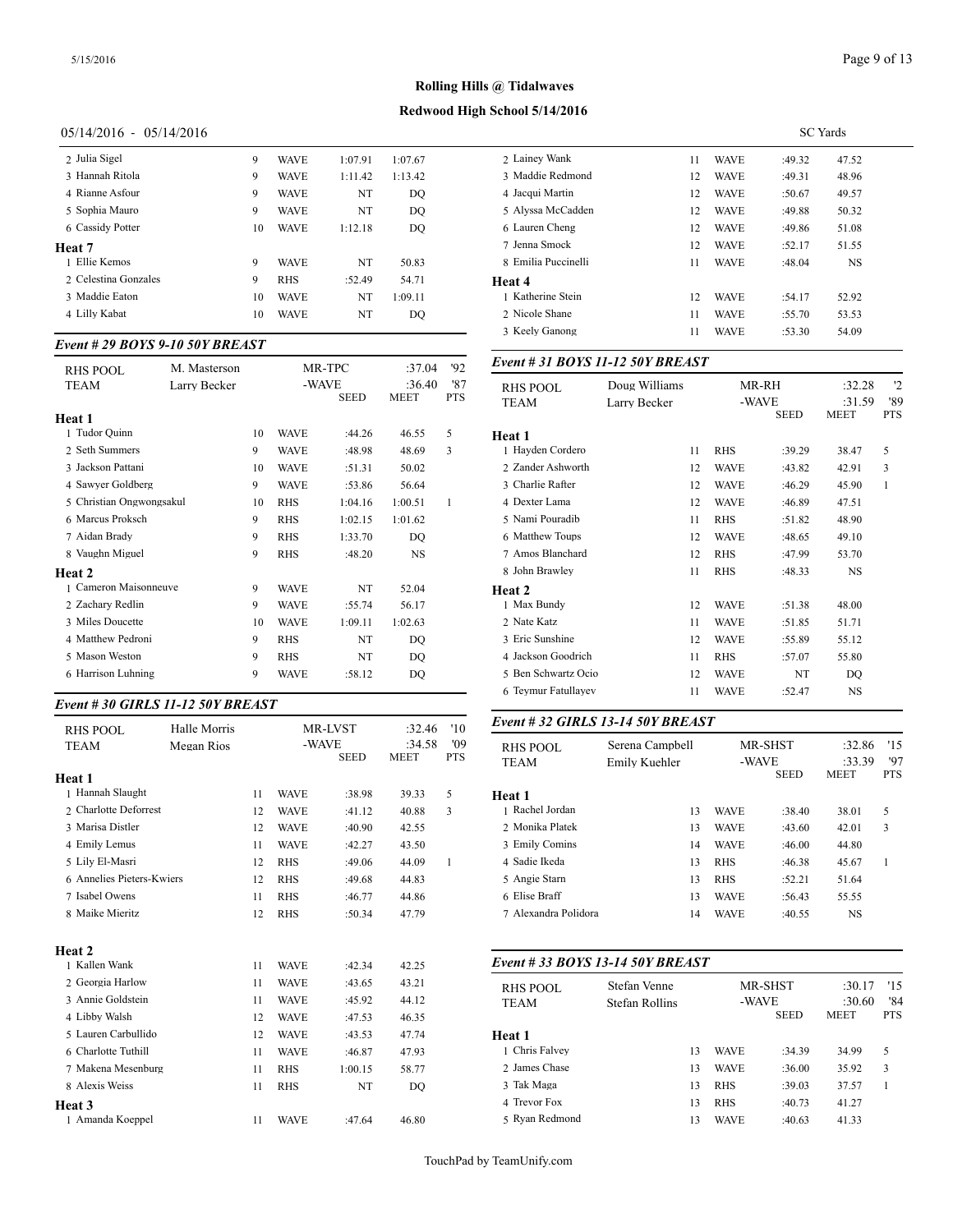# **Redwood High School 5/14/2016**

# 05/14/2016 - 05/14/2016

| 2 Julia Sigel        | 9  | <b>WAVE</b> | 1:07.91 | 1:07.67 | 2 Lainev Wank                                        |
|----------------------|----|-------------|---------|---------|------------------------------------------------------|
| 3 Hannah Ritola      | 9  | <b>WAVE</b> | 1:11.42 | 1:13.42 | 3 Maddie Redm                                        |
| 4 Rianne Asfour      | 9  | <b>WAVE</b> | NT      | DO      | 4 Jacqui Martin                                      |
| 5 Sophia Mauro       | 9  | <b>WAVE</b> | NT      | DO      | 5 Alyssa McCao                                       |
| 6 Cassidy Potter     | 10 | <b>WAVE</b> | 1:12.18 | DO      | 6 Lauren Cheng                                       |
| Heat 7               |    |             |         |         | 7 Jenna Smock                                        |
| 1 Ellie Kemos        | 9  | <b>WAVE</b> | NT      | 50.83   | 8 Emilia Puccin                                      |
| 2 Celestina Gonzales | 9  | <b>RHS</b>  | :52.49  | 54.71   | Heat 4                                               |
| 3 Maddie Eaton       | 10 | <b>WAVE</b> | NT      | 1:09.11 | 1 Katherine Stei                                     |
| 4 Lilly Kabat        | 10 | <b>WAVE</b> | NT      | DQ      | 2 Nicole Shane                                       |
|                      |    |             |         |         | $\land$ $V \ldots$ $\land$ $\land$ $\ldots$ $\ldots$ |

#### *Event # 29 BOYS 9-10 50Y BREAST*

| <b>RHS POOL</b>          | M. Masterson |    |             | MR-TPC               | :37.04         | 92                | Event # 31 BOY.                |
|--------------------------|--------------|----|-------------|----------------------|----------------|-------------------|--------------------------------|
| <b>TEAM</b>              | Larry Becker |    |             | -WAVE<br><b>SEED</b> | :36.40<br>MEET | '87<br><b>PTS</b> | <b>RHS POOL</b><br><b>TEAM</b> |
| Heat 1                   |              |    |             |                      |                |                   |                                |
| 1 Tudor Quinn            |              | 10 | <b>WAVE</b> | :44.26               | 46.55          | 5                 | Heat 1                         |
| 2 Seth Summers           |              | 9  | <b>WAVE</b> | :48.98               | 48.69          | 3                 | 1 Hayden Corderc               |
| 3 Jackson Pattani        |              | 10 | <b>WAVE</b> | :51.31               | 50.02          |                   | 2 Zander Ashwort               |
| 4 Sawyer Goldberg        |              | 9  | <b>WAVE</b> | :53.86               | 56.64          |                   | 3 Charlie Rafter               |
| 5 Christian Ongwongsakul |              | 10 | <b>RHS</b>  | 1:04.16              | 1:00.51        | 1                 | 4 Dexter Lama                  |
| 6 Marcus Proksch         |              | 9  | <b>RHS</b>  | 1:02.15              | 1:01.62        |                   | 5 Nami Pouradib                |
| 7 Aidan Brady            |              | 9  | <b>RHS</b>  | 1:33.70              | DO             |                   | 6 Matthew Toups                |
| 8 Vaughn Miguel          |              | 9  | <b>RHS</b>  | :48.20               | NS             |                   | 7 Amos Blanchard               |
| Heat 2                   |              |    |             |                      |                |                   | 8 John Brawley                 |
| 1 Cameron Maisonneuve    |              | 9  | <b>WAVE</b> | NT                   | 52.04          |                   | Heat 2                         |
| 2 Zachary Redlin         |              | 9  | <b>WAVE</b> | :55.74               | 56.17          |                   | 1 Max Bundy                    |
| 3 Miles Doucette         |              | 10 | <b>WAVE</b> | 1:09.11              | 1:02.63        |                   | 2 Nate Katz                    |
| 4 Matthew Pedroni        |              | 9  | <b>RHS</b>  | NT                   | DO             |                   | 3 Eric Sunshine                |
| 5 Mason Weston           |              | 9  | <b>RHS</b>  | NT                   | DO             |                   | 4 Jackson Goodric              |
| 6 Harrison Luhning       |              | 9  | <b>WAVE</b> | :58.12               | DO.            |                   | 5 Ben Schwartz O               |
|                          |              |    |             |                      |                |                   |                                |

# *Event # 30 GIRLS 11-12 50Y BREAST*

| <b>RHS POOL</b>           | Halle Morris |    |             | MR-LVST     | :32.46                | '10               | Event # 32 GIRI                |
|---------------------------|--------------|----|-------------|-------------|-----------------------|-------------------|--------------------------------|
| <b>TEAM</b>               | Megan Rios   |    | -WAVE       | <b>SEED</b> | :34.58<br><b>MEET</b> | '09<br><b>PTS</b> | <b>RHS POOL</b><br><b>TEAM</b> |
| Heat 1                    |              |    |             |             |                       |                   |                                |
| 1 Hannah Slaught          |              | 11 | <b>WAVE</b> | :38.98      | 39.33                 | 5                 | Heat 1                         |
| 2 Charlotte Deforrest     |              | 12 | <b>WAVE</b> | :41.12      | 40.88                 | 3                 | 1 Rachel Jordan                |
| 3 Marisa Distler          |              | 12 | <b>WAVE</b> | :40.90      | 42.55                 |                   | 2 Monika Platek                |
| 4 Emily Lemus             |              | 11 | <b>WAVE</b> | :42.27      | 43.50                 |                   | 3 Emily Comins                 |
| 5 Lily El-Masri           |              | 12 | <b>RHS</b>  | :49.06      | 44.09                 | $\mathbf{1}$      | 4 Sadie Ikeda                  |
| 6 Annelies Pieters-Kwiers |              | 12 | <b>RHS</b>  | :49.68      | 44.83                 |                   | 5 Angie Starn                  |
| 7 Isabel Owens            |              | 11 | <b>RHS</b>  | :46.77      | 44.86                 |                   | 6 Elise Braff                  |
| 8 Maike Mieritz           |              | 12 | <b>RHS</b>  | :50.34      | 47.79                 |                   | 7 Alexandra Polid              |
| Heat 2                    |              |    |             |             |                       |                   |                                |
| 1 Kallen Wank             |              | 11 | <b>WAVE</b> | :42.34      | 42.25                 |                   | Event # 33 BOY                 |
| 2 Georgia Harlow          |              | 11 | <b>WAVE</b> | :43.65      | 43.21                 |                   | <b>RHS POOL</b>                |
| 3 Annie Goldstein         |              | 11 | <b>WAVE</b> | :45.92      | 44.12                 |                   | <b>TEAM</b>                    |
| 4 Libby Walsh             |              | 12 | <b>WAVE</b> | :47.53      | 46.35                 |                   |                                |
| 5 Lauren Carbullido       |              | 12 | <b>WAVE</b> | :43.53      | 47.74                 |                   | Heat 1                         |
| 6 Charlotte Tuthill       |              | 11 | <b>WAVE</b> | :46.87      | 47.93                 |                   | 1 Chris Falvey                 |
| 7 Makena Mesenburg        |              | 11 | <b>RHS</b>  | 1:00.15     | 58.77                 |                   | 2 James Chase                  |
| 8 Alexis Weiss            |              | 11 | <b>RHS</b>  | NT          | DO                    |                   | 3 Tak Maga                     |
| Heat 3                    |              |    |             |             |                       |                   | 4 Trevor Fox                   |
| 1 Amanda Koeppel          |              | 11 | <b>WAVE</b> | :47.64      | 46.80                 |                   | 5 Rvan Redmond                 |

|                     |    |             | <b>SC</b> Yards |           |  |
|---------------------|----|-------------|-----------------|-----------|--|
| 2 Lainey Wank       | 11 | <b>WAVE</b> | :49.32          | 47.52     |  |
| 3 Maddie Redmond    | 12 | <b>WAVE</b> | :49.31          | 48.96     |  |
| 4 Jacqui Martin     | 12 | <b>WAVE</b> | :50.67          | 49.57     |  |
| 5 Alyssa McCadden   | 12 | <b>WAVE</b> | :49.88          | 50.32     |  |
| 6 Lauren Cheng      | 12 | <b>WAVE</b> | :49.86          | 51.08     |  |
| 7 Jenna Smock       | 12 | <b>WAVE</b> | :52.17          | 51.55     |  |
| 8 Emilia Puccinelli | 11 | <b>WAVE</b> | :48.04          | <b>NS</b> |  |
| Heat 4              |    |             |                 |           |  |
| 1 Katherine Stein   | 12 | <b>WAVE</b> | :54.17          | 52.92     |  |
| 2. Nicole Shane     | 11 | <b>WAVE</b> | :55.70          | 53.53     |  |
| 3 Keely Ganong      | 11 | <b>WAVE</b> | :53.30          | 54.09     |  |
|                     |    |             |                 |           |  |

#### *Event # 31 BOYS 11-12 50Y BREAST*

| <b>RHS POOL</b>     | Doug Williams |                      | MR-RH  | :32.28                | '2<br>'89<br><b>PTS</b> |
|---------------------|---------------|----------------------|--------|-----------------------|-------------------------|
| TEAM                | Larry Becker  | -WAVE<br><b>SEED</b> |        | :31.59<br><b>MEET</b> |                         |
| Heat 1              |               |                      |        |                       |                         |
| 1 Hayden Cordero    | 11            | <b>RHS</b>           | :39.29 | 38.47                 | 5                       |
| 2 Zander Ashworth   | 12            | <b>WAVE</b>          | :43.82 | 42.91                 | 3                       |
| 3 Charlie Rafter    | 12            | <b>WAVE</b>          | :46.29 | 45.90                 | $\mathbf{1}$            |
| 4 Dexter Lama       | 12            | <b>WAVE</b>          | :46.89 | 47.51                 |                         |
| 5 Nami Pouradib     | 11            | <b>RHS</b>           | :51.82 | 48.90                 |                         |
| 6 Matthew Toups     | 12            | <b>WAVE</b>          | :48.65 | 49.10                 |                         |
| 7 Amos Blanchard    | 12            | <b>RHS</b>           | :47.99 | 53.70                 |                         |
| 8 John Brawley      | 11            | <b>RHS</b>           | :48.33 | <b>NS</b>             |                         |
| Heat 2              |               |                      |        |                       |                         |
| 1 Max Bundy         | 12            | <b>WAVE</b>          | :51.38 | 48.00                 |                         |
| 2 Nate Katz         | 11            | <b>WAVE</b>          | :51.85 | 51.71                 |                         |
| 3 Eric Sunshine     | 12            | <b>WAVE</b>          | :55.89 | 55.12                 |                         |
| 4 Jackson Goodrich  | 11            | <b>RHS</b>           | :57.07 | 55.80                 |                         |
| 5 Ben Schwartz Ocio | 12            | <b>WAVE</b>          | NT     | DO                    |                         |
| 6 Teymur Fatullayev | 11            | <b>WAVE</b>          | :52.47 | NS                    |                         |

#### *Event # 32 GIRLS 13-14 50Y BREAST*

| <b>RHS POOL</b><br><b>TEAM</b> | Serena Campbell<br>Emily Kuehler | MR-SHST<br>-WAVE |             | 15<br>:32.86<br>'97<br>:33.39 |            |
|--------------------------------|----------------------------------|------------------|-------------|-------------------------------|------------|
|                                |                                  |                  | <b>SEED</b> | <b>MEET</b>                   | <b>PTS</b> |
| Heat 1                         |                                  |                  |             |                               |            |
| 1 Rachel Jordan                | 13                               | <b>WAVE</b>      | :38.40      | 38.01                         | 5          |
| 2 Monika Platek                | 13                               | <b>WAVE</b>      | :43.60      | 42.01                         | 3          |
| 3 Emily Comins                 | 14                               | <b>WAVE</b>      | :46.00      | 44.80                         |            |
| 4 Sadie Ikeda                  | 13                               | <b>RHS</b>       | :46.38      | 45.67                         | 1          |
| 5 Angie Starn                  | 13                               | <b>RHS</b>       | :52.21      | 51.64                         |            |
| 6 Elise Braff                  | 13                               | <b>WAVE</b>      | :56.43      | 55.55                         |            |
| 7 Alexandra Polidora           | 14                               | <b>WAVE</b>      | :40.55      | <b>NS</b>                     |            |

#### *Event # 33 BOYS 13-14 50Y BREAST*

| <b>RHS POOL</b><br><b>TEAM</b> | Stefan Venne<br>Stefan Rollins |    | MR-SHST<br>-WAVE<br><b>SEED</b> |        | 15<br>:30.17<br>'84<br>:30.60<br><b>MEET</b><br><b>PTS</b> |   |
|--------------------------------|--------------------------------|----|---------------------------------|--------|------------------------------------------------------------|---|
| Heat 1                         |                                |    |                                 |        |                                                            |   |
| 1 Chris Falvev                 |                                | 13 | <b>WAVE</b>                     | :34.39 | 34.99                                                      | 5 |
| 2 James Chase                  |                                | 13 | <b>WAVE</b>                     | :36.00 | 35.92                                                      | 3 |
| 3 Tak Maga                     |                                | 13 | <b>RHS</b>                      | :39.03 | 37.57                                                      |   |
| 4 Trevor Fox                   |                                | 13 | <b>RHS</b>                      | :40.73 | 41.27                                                      |   |
| 5 Ryan Redmond                 |                                | 13 | <b>WAVE</b>                     | :40.63 | 41.33                                                      |   |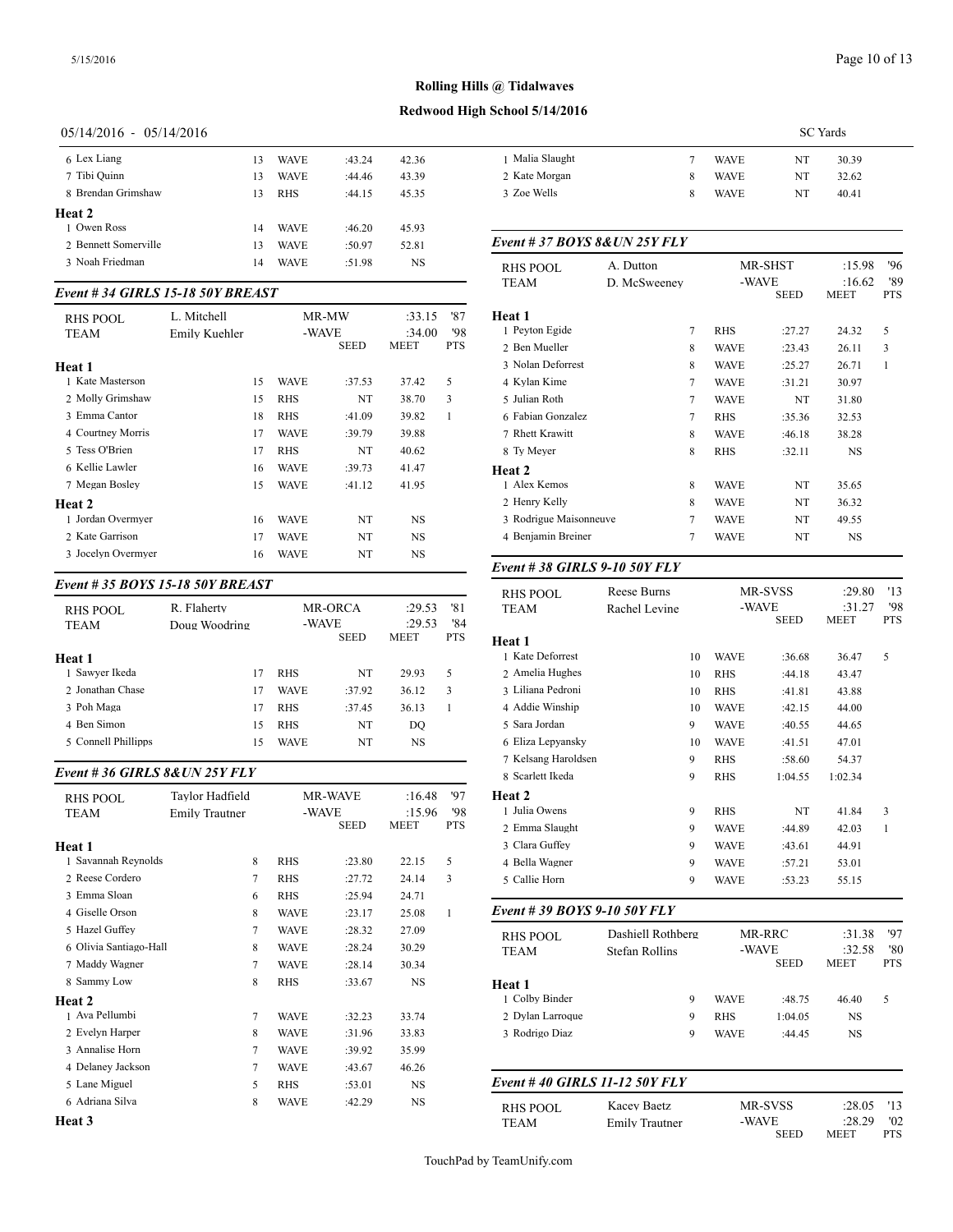# **Redwood High School 5/14/2016**

# 05/14/2016 - 05/14/2016

| 6 Lex Liang          | 13 | <b>WAVE</b> | :43.24 | 42.36 | 1 Malia       |
|----------------------|----|-------------|--------|-------|---------------|
| 7 Tibi Quinn         | 13 | <b>WAVE</b> | :44.46 | 43.39 | 2 Kate N      |
| 8 Brendan Grimshaw   | 13 | <b>RHS</b>  | :44.15 | 45.35 | 3 Zoe W       |
| Heat 2               |    |             |        |       |               |
| 1 Owen Ross          | 14 | <b>WAVE</b> | :46.20 | 45.93 |               |
| 2 Bennett Somerville | 13 | <b>WAVE</b> | :50.97 | 52.81 | $Event#$ .    |
| 3 Noah Friedman      | 14 | <b>WAVE</b> | :51.98 | NS    | <b>RHS PC</b> |

#### *Event # 34 GIRLS 15-18 50Y BREAST*

| RHS POOL<br><b>TEAM</b> | L. Mitchell<br>Emily Kuehler |    | -WAVE       | MR-MW<br><b>SEED</b> | :33.15<br>:34.00<br><b>MEET</b> | '87<br>'98<br><b>PTS</b> | <b>Heat 1</b><br>1 Peyton Egide<br>2 Ben Mueller |
|-------------------------|------------------------------|----|-------------|----------------------|---------------------------------|--------------------------|--------------------------------------------------|
| Heat 1                  |                              |    |             |                      |                                 |                          | 3 Nolan Deforrest                                |
| 1 Kate Masterson        |                              | 15 | WAVE        | :37.53               | 37.42                           | 5                        | 4 Kylan Kime                                     |
| 2 Molly Grimshaw        |                              | 15 | <b>RHS</b>  | NT                   | 38.70                           | 3                        | 5 Julian Roth                                    |
| 3 Emma Cantor           |                              | 18 | <b>RHS</b>  | :41.09               | 39.82                           | 1                        | 6 Fabian Gonzalez                                |
| 4 Courtney Morris       |                              | 17 | <b>WAVE</b> | :39.79               | 39.88                           |                          | 7 Rhett Krawitt                                  |
| 5 Tess O'Brien          |                              | 17 | <b>RHS</b>  | NT                   | 40.62                           |                          | 8 Ty Meyer                                       |
| 6 Kellie Lawler         |                              | 16 | <b>WAVE</b> | :39.73               | 41.47                           |                          | Heat 2                                           |
| 7 Megan Bosley          |                              | 15 | <b>WAVE</b> | :41.12               | 41.95                           |                          | 1 Alex Kemos                                     |
| Heat 2                  |                              |    |             |                      |                                 |                          | 2 Henry Kelly                                    |
| 1 Jordan Overmyer       |                              | 16 | WAVE        | NT                   | NS                              |                          | 3 Rodrigue Maiso                                 |
| 2 Kate Garrison         |                              | 17 | <b>WAVE</b> | NT                   | <b>NS</b>                       |                          | 4 Benjamin Breine                                |
| 3 Jocelyn Overmyer      |                              | 16 | WAVE        | NT                   | NS                              |                          |                                                  |
|                         |                              |    |             |                      |                                 |                          |                                                  |

#### *Event # 35 BOYS 15-18 50Y BREAST*

| <b>RHS POOL</b><br>TEAM | R. Flaherty<br>Doug Woodring | -WAVE       | MR-ORCA     | :29.53<br>:29.53 | '81<br>'84 | <b>TEAM</b>       |
|-------------------------|------------------------------|-------------|-------------|------------------|------------|-------------------|
|                         |                              |             | <b>SEED</b> | <b>MEET</b>      | <b>PTS</b> | Heat 1            |
| Heat 1                  |                              |             |             |                  |            | 1 Kate Deforrest  |
| 1 Sawyer Ikeda          | 17                           | <b>RHS</b>  | NT          | 29.93            | 5          | 2 Amelia Hughes   |
| 2. Jonathan Chase       | 17                           | <b>WAVE</b> | :37.92      | 36.12            | 3          | 3 Liliana Pedroni |
| 3 Poh Maga              | 17                           | <b>RHS</b>  | :37.45      | 36.13            |            | 4 Addie Winship   |
| 4 Ben Simon             | 15                           | <b>RHS</b>  | NT          | DO               |            | 5 Sara Jordan     |
| 5 Connell Phillipps     | 15                           | <b>WAVE</b> | NT          | NS               |            | 6 Eliza Lepyansky |
|                         |                              |             |             |                  |            | __ _ _ _ _ _      |

#### *Event # 36 GIRLS 8&UN 25Y FLY*

| <b>RHS POOL</b><br><b>TEAM</b> | Tavlor Hadfield<br><b>Emily Trautner</b> |             | <b>MR-WAVE</b><br>-WAVE<br><b>SEED</b> | :16.48<br>:15.96<br><b>MEET</b> | '97<br>'98<br><b>PTS</b> | Heat 2<br>1 Julia Owens<br>2 Emma Slaught |
|--------------------------------|------------------------------------------|-------------|----------------------------------------|---------------------------------|--------------------------|-------------------------------------------|
| Heat 1                         |                                          |             |                                        |                                 |                          | 3 Clara Guffey                            |
| 1 Savannah Reynolds            | 8                                        | <b>RHS</b>  | :23.80                                 | 22.15                           | 5                        | 4 Bella Wagner                            |
| 2 Reese Cordero                | 7                                        | <b>RHS</b>  | :27.72                                 | 24.14                           | 3                        | 5 Callie Horn                             |
| 3 Emma Sloan                   | 6                                        | <b>RHS</b>  | :25.94                                 | 24.71                           |                          |                                           |
| 4 Giselle Orson                | 8                                        | <b>WAVE</b> | : 23.17                                | 25.08                           | $\mathbf{1}$             | Event # 39 BOY                            |
| 5 Hazel Guffey                 | $\overline{7}$                           | <b>WAVE</b> | :28.32                                 | 27.09                           |                          | <b>RHS POOL</b>                           |
| 6 Olivia Santiago-Hall         | 8                                        | <b>WAVE</b> | :28.24                                 | 30.29                           |                          | <b>TEAM</b>                               |
| 7 Maddy Wagner                 | 7                                        | <b>WAVE</b> | :28.14                                 | 30.34                           |                          |                                           |
| 8 Sammy Low                    | 8                                        | <b>RHS</b>  | :33.67                                 | NS                              |                          | Heat 1                                    |
| Heat 2                         |                                          |             |                                        |                                 |                          | 1 Colby Binder                            |
| 1 Ava Pellumbi                 | 7                                        | <b>WAVE</b> | :32.23                                 | 33.74                           |                          | 2 Dylan Larroque                          |
| 2 Evelyn Harper                | 8                                        | <b>WAVE</b> | :31.96                                 | 33.83                           |                          | 3 Rodrigo Diaz                            |
| 3 Annalise Horn                | 7                                        | <b>WAVE</b> | :39.92                                 | 35.99                           |                          |                                           |
| 4 Delaney Jackson              | 7                                        | <b>WAVE</b> | :43.67                                 | 46.26                           |                          |                                           |
| 5 Lane Miguel                  | 5                                        | <b>RHS</b>  | :53.01                                 | <b>NS</b>                       |                          | Event #40 GIRI                            |
| 6 Adriana Silva                | 8                                        | <b>WAVE</b> | :42.29                                 | NS                              |                          | RHS POOL                                  |
| Heat 3                         |                                          |             |                                        |                                 |                          | <b>TEAM</b>                               |

|                 |   |             | <b>SC</b> Yards |
|-----------------|---|-------------|-----------------|
| 1 Malia Slaught |   | <b>WAVE</b> | NT<br>30.39     |
| 2 Kate Morgan   | 8 | <b>WAVE</b> | NT<br>32.62     |
| 3 Zoe Wells     | 8 | <b>WAVE</b> | NT<br>40.41     |

#### *Event # 37 BOYS 8&UN 25Y FLY*

| <b>RHS POOL</b><br>TEAM | A. Dutton<br>D. McSweenev |        | MR-SHST<br>-WAVE | <b>SEED</b> | :15.98<br>:16.62<br><b>MEET</b> | 96<br>'89<br><b>PTS</b> |
|-------------------------|---------------------------|--------|------------------|-------------|---------------------------------|-------------------------|
| Heat 1                  |                           |        |                  |             |                                 |                         |
| 1 Peyton Egide          |                           | 7      | <b>RHS</b>       | :27.27      | 24.32                           | 5                       |
| 2 Ben Mueller           |                           | 8      | WAVE             | :23.43      | 26.11                           | 3                       |
| 3 Nolan Deforrest       |                           | 8      | <b>WAVE</b>      | :25.27      | 26.71                           | 1                       |
| 4 Kylan Kime            |                           | $\tau$ | <b>WAVE</b>      | :31.21      | 30.97                           |                         |
| 5 Julian Roth           |                           | $\tau$ | <b>WAVE</b>      | NT          | 31.80                           |                         |
| 6 Fabian Gonzalez       |                           | 7      | <b>RHS</b>       | :35.36      | 32.53                           |                         |
| 7 Rhett Krawitt         |                           | 8      | <b>WAVE</b>      | :46.18      | 38.28                           |                         |
| 8 Ty Meyer              |                           | 8      | <b>RHS</b>       | :32.11      | <b>NS</b>                       |                         |
| <b>Heat 2</b>           |                           |        |                  |             |                                 |                         |
| 1 Alex Kemos            |                           | 8      | <b>WAVE</b>      | NT          | 35.65                           |                         |
| 2 Henry Kelly           |                           | 8      | <b>WAVE</b>      | NT          | 36.32                           |                         |
| 3 Rodrigue Maisonneuve  |                           | $\tau$ | <b>WAVE</b>      | NT          | 49.55                           |                         |
| 4 Benjamin Breiner      |                           | 7      | <b>WAVE</b>      | NT          | NS                              |                         |
|                         |                           |        |                  |             |                                 |                         |

# *Event # 38 GIRLS 9-10 50Y FLY*

| <b>RHS POOL</b><br><b>TEAM</b> | <b>Reese Burns</b><br>Rachel Levine        |    | MR-SVSS<br>-WAVE<br><b>SEED</b> |                       | :29.80<br>:31.27<br><b>MEET</b> | '13<br>'98<br><b>PTS</b> |
|--------------------------------|--------------------------------------------|----|---------------------------------|-----------------------|---------------------------------|--------------------------|
| Heat 1                         |                                            |    |                                 |                       |                                 |                          |
| 1 Kate Deforrest               |                                            | 10 | <b>WAVE</b>                     | :36.68                | 36.47                           | 5                        |
| 2 Amelia Hughes                |                                            | 10 | <b>RHS</b>                      | :44.18                | 43.47                           |                          |
| 3 Liliana Pedroni              |                                            | 10 | <b>RHS</b>                      | :41.81                | 43.88                           |                          |
| 4 Addie Winship                |                                            | 10 | <b>WAVE</b>                     | :42.15                | 44.00                           |                          |
| 5 Sara Jordan                  |                                            | 9  | <b>WAVE</b>                     | :40.55                | 44.65                           |                          |
| 6 Eliza Lepyansky              |                                            | 10 | <b>WAVE</b>                     | :41.51                | 47.01                           |                          |
| 7 Kelsang Haroldsen            |                                            | 9  | <b>RHS</b>                      | :58.60                | 54.37                           |                          |
| 8 Scarlett Ikeda               |                                            | 9  | <b>RHS</b>                      | 1:04.55               | 1:02.34                         |                          |
| Heat 2                         |                                            |    |                                 |                       |                                 |                          |
| 1 Julia Owens                  |                                            | 9  | <b>RHS</b>                      | NT                    | 41.84                           | 3                        |
| 2 Emma Slaught                 |                                            | 9  | <b>WAVE</b>                     | :44.89                | 42.03                           | $\mathbf{1}$             |
| 3 Clara Guffey                 |                                            | 9  | <b>WAVE</b>                     | :43.61                | 44.91                           |                          |
| 4 Bella Wagner                 |                                            | 9  | <b>WAVE</b>                     | :57.21                | 53.01                           |                          |
| 5 Callie Horn                  |                                            | 9  | <b>WAVE</b>                     | :53.23                | 55.15                           |                          |
| Event # 39 BOYS 9-10 50Y FLY   |                                            |    |                                 |                       |                                 |                          |
| <b>RHS POOL</b><br><b>TEAM</b> | Dashiell Rothberg<br><b>Stefan Rollins</b> |    | -WAVE                           | MR-RRC<br><b>SEED</b> | :31.38<br>:32.58<br>MEET        | 97<br>'80<br><b>PTS</b>  |
| Heat 1                         |                                            |    |                                 |                       |                                 |                          |
| 1 Colby Binder                 |                                            | 9  | <b>WAVE</b>                     | :48.75                | 46.40                           | 5                        |
| 2 Dylan Larroque               |                                            | 9  | <b>RHS</b>                      | 1:04.05               | $_{\rm NS}$                     |                          |
| 3 Rodrigo Diaz                 |                                            | 9  | <b>WAVE</b>                     | :44.45                | $_{\rm NS}$                     |                          |
| Event #40 GIRLS 11-12 50Y FLY  |                                            |    |                                 |                       |                                 |                          |
| <b>RHS POOL</b>                | Kacev Baetz                                |    |                                 | MR-SVSS               | :28.05                          | '13                      |
| <b>TEAM</b>                    | <b>Emily Trautner</b>                      |    | -WAVE                           | <b>SEED</b>           | :28.29<br><b>MEET</b>           | '02<br><b>PTS</b>        |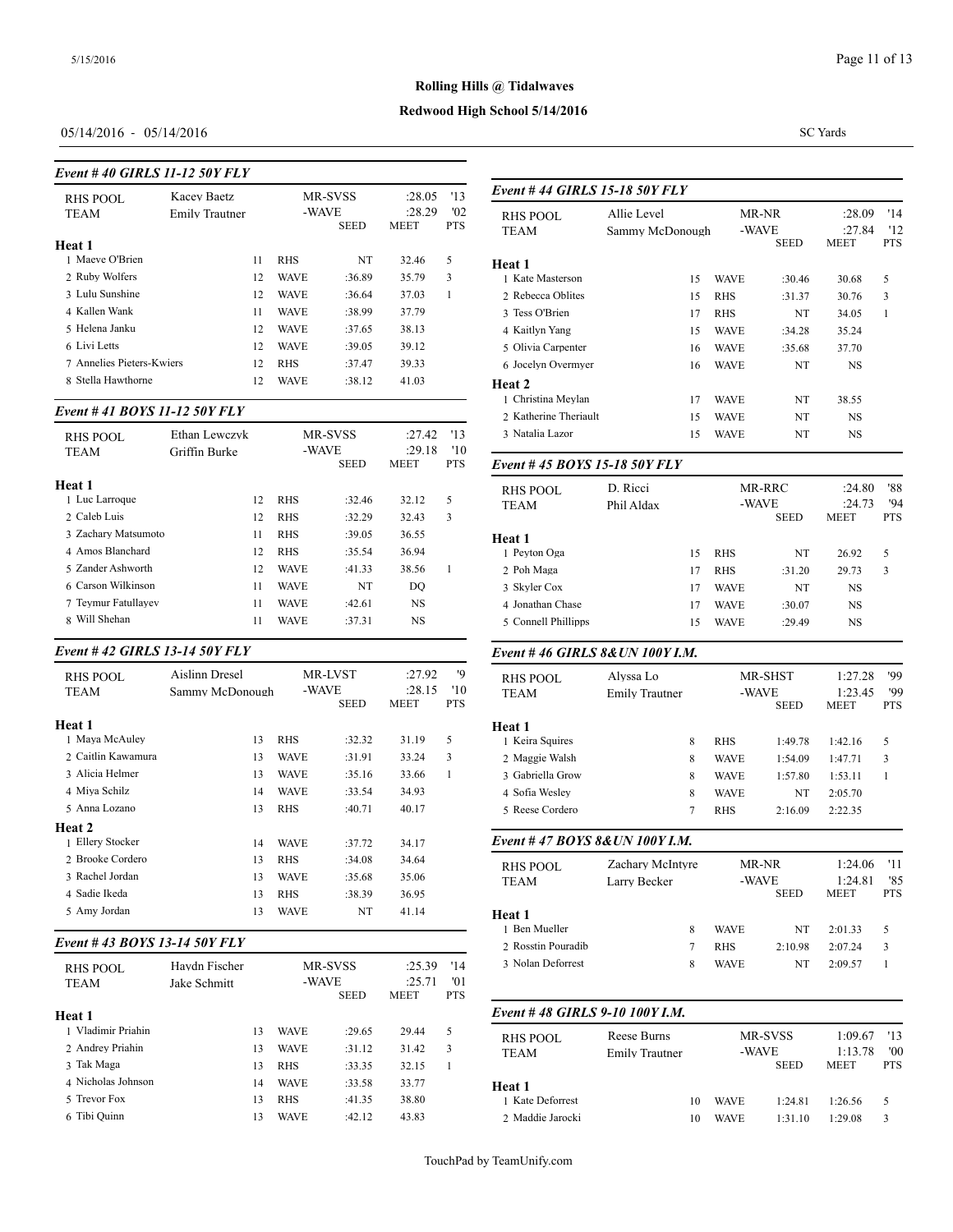# **Redwood High School 5/14/2016**

# 05/14/2016 - 05/14/2016

#### *Event # 40 GIRLS 11-12 50Y FLY*

| Kacev Baetz<br><b>RHS POOL</b> |                       | MR-SVSS |             |                      | '13<br>:28.05         |                   | Event #44 GIRI          |  |
|--------------------------------|-----------------------|---------|-------------|----------------------|-----------------------|-------------------|-------------------------|--|
| <b>TEAM</b>                    | <b>Emily Trautner</b> |         |             | -WAVE<br><b>SEED</b> | :28.29<br><b>MEET</b> | '02<br><b>PTS</b> | RHS POOL<br><b>TEAM</b> |  |
| Heat 1                         |                       |         |             |                      |                       |                   |                         |  |
| 1 Maeve O'Brien                |                       | 11      | <b>RHS</b>  | NT                   | 32.46                 | 5                 | Heat 1                  |  |
| 2 Ruby Wolfers                 |                       | 12      | <b>WAVE</b> | :36.89               | 35.79                 | 3                 | 1 Kate Masterson        |  |
| 3 Lulu Sunshine                |                       | 12      | <b>WAVE</b> | :36.64               | 37.03                 | 1                 | 2 Rebecca Oblites       |  |
| 4 Kallen Wank                  |                       | 11      | <b>WAVE</b> | :38.99               | 37.79                 |                   | 3 Tess O'Brien          |  |
| 5 Helena Janku                 |                       | 12      | <b>WAVE</b> | :37.65               | 38.13                 |                   | 4 Kaitlyn Yang          |  |
| 6 Livi Letts                   |                       | 12      | <b>WAVE</b> | :39.05               | 39.12                 |                   | 5 Olivia Carpenter      |  |
| 7 Annelies Pieters-Kwiers      |                       | 12      | <b>RHS</b>  | :37.47               | 39.33                 |                   | 6 Jocelyn Overmy        |  |
| 8 Stella Hawthorne             |                       | 12      | <b>WAVE</b> | :38.12               | 41.03                 |                   | Heat 2                  |  |

#### *Event # 41 BOYS 11-12 50Y FLY*

| RHS POOL<br><b>TEAM</b>     | Ethan Lewczyk<br>Griffin Burke |             | MR-SVSS<br>-WAVE |                       | '13<br>:27.42<br>'10 | 3 Natalia Lazor    |  |
|-----------------------------|--------------------------------|-------------|------------------|-----------------------|----------------------|--------------------|--|
|                             |                                |             | <b>SEED</b>      | :29.18<br><b>MEET</b> | <b>PTS</b>           | Event #45 BOY      |  |
| Heat 1                      |                                |             |                  |                       |                      | RHS POOL           |  |
| 1 Luc Larroque              | 12                             | <b>RHS</b>  | :32.46           | 32.12                 | 5                    | <b>TEAM</b>        |  |
| 2 Caleb Luis                | 12                             | <b>RHS</b>  | :32.29           | 32.43                 | 3                    |                    |  |
| 3 Zachary Matsumoto         | 11                             | <b>RHS</b>  | :39.05           | 36.55                 |                      | Heat 1             |  |
| 4 Amos Blanchard            | 12                             | <b>RHS</b>  | :35.54           | 36.94                 |                      | 1 Pevton Oga       |  |
| 5 Zander Ashworth           | 12                             | <b>WAVE</b> | :41.33           | 38.56                 | 1                    | 2 Poh Maga         |  |
| 6 Carson Wilkinson          | 11                             | <b>WAVE</b> | NT               | DQ                    |                      | 3 Skyler Cox       |  |
| 7 Teymur Fatullayev         | 11                             | <b>WAVE</b> | :42.61           | NS                    |                      | 4 Jonathan Chase   |  |
| Will Shehan<br>$\mathbf{R}$ | 11                             | <b>WAVE</b> | :37.31           | NS                    |                      | 5 Connell Phillipp |  |
|                             |                                |             |                  |                       |                      |                    |  |

# *Event # 42 GIRLS 13-14 50Y FLY*

| RHS POOL<br><b>TEAM</b> | Aislinn Dresel<br>Sammy McDonough | -WAVE       | <b>MR-LVST</b><br><b>SEED</b> | :27.92<br>:28.15<br>MEET | '9<br>'10<br><b>PTS</b> | RHS POOL<br><b>TEAM</b> |
|-------------------------|-----------------------------------|-------------|-------------------------------|--------------------------|-------------------------|-------------------------|
| Heat 1                  |                                   |             |                               |                          |                         | Heat 1                  |
| 1 Maya McAuley          | 13                                | <b>RHS</b>  | :32.32                        | 31.19                    | 5                       | 1 Keira Squires         |
| 2 Caitlin Kawamura      | 13                                | WAVE        | :31.91                        | 33.24                    | 3                       | 2 Maggie Walsh          |
| 3 Alicia Helmer         | 13                                | <b>WAVE</b> | :35.16                        | 33.66                    | 1                       | 3 Gabriella Grow        |
| 4 Miya Schilz           | 14                                | WAVE        | :33.54                        | 34.93                    |                         | 4 Sofia Wesley          |
| 5 Anna Lozano           | 13                                | <b>RHS</b>  | :40.71                        | 40.17                    |                         | 5 Reese Cordero         |
| Heat 2                  |                                   |             |                               |                          |                         |                         |
| 1 Ellery Stocker        | 14                                | <b>WAVE</b> | :37.72                        | 34.17                    |                         | Event #47 $BOY$         |
| 2. Brooke Cordero       | 13                                | <b>RHS</b>  | :34.08                        | 34.64                    |                         | RHS POOL                |
| 3 Rachel Jordan         | 13                                | <b>WAVE</b> | :35.68                        | 35.06                    |                         | <b>TEAM</b>             |
| 4 Sadie Ikeda           | 13                                | <b>RHS</b>  | :38.39                        | 36.95                    |                         |                         |
| 5 Amy Jordan            | 13                                | WAVE        | NT                            | 41.14                    |                         | Heat 1                  |

# *Event # 43 BOYS 13-14 50Y FLY*

|                                |                               |                                 |             |        |                                                             |   | 2 ROSSUIL L'OUIGUN |  |
|--------------------------------|-------------------------------|---------------------------------|-------------|--------|-------------------------------------------------------------|---|--------------------|--|
| <b>RHS POOL</b><br><b>TEAM</b> | Havdn Fischer<br>Jake Schmitt | MR-SVSS<br>-WAVE<br><b>SEED</b> |             |        | '14<br>:25.39<br>'01<br>:25.71<br><b>MEET</b><br><b>PTS</b> |   | 3 Nolan Deforrest  |  |
| Heat 1                         |                               |                                 |             |        |                                                             |   | Event #48 GIRI     |  |
| 1 Vladimir Priahin             |                               | 13                              | <b>WAVE</b> | :29.65 | 29.44                                                       | 5 | RHS POOL           |  |
| 2 Andrey Priahin               |                               | 13                              | <b>WAVE</b> | :31.12 | 31.42                                                       | 3 | <b>TEAM</b>        |  |
| 3 Tak Maga                     |                               | 13                              | <b>RHS</b>  | :33.35 | 32.15                                                       |   |                    |  |
| 4 Nicholas Johnson             |                               | 14                              | <b>WAVE</b> | :33.58 | 33.77                                                       |   | Heat 1             |  |
| 5 Trevor Fox                   |                               | 13                              | <b>RHS</b>  | :41.35 | 38.80                                                       |   | 1 Kate Deforrest   |  |
| 6 Tibi Quinn                   |                               | 13                              | <b>WAVE</b> | :42.12 | 43.83                                                       |   | 2 Maddie Jarocki   |  |
|                                |                               |                                 |             |        |                                                             |   |                    |  |

SC Yards

| <b>RHS POOL</b>                 | Allie Level           |             | MR-NR         | :28.09          | '14          |
|---------------------------------|-----------------------|-------------|---------------|-----------------|--------------|
| <b>TEAM</b>                     | Sammy McDonough       |             | -WAVE         | :27.84          | '12          |
|                                 |                       |             | <b>SEED</b>   | MEET            | <b>PTS</b>   |
| Heat 1                          |                       |             |               |                 |              |
| 1 Kate Masterson                | 15                    | <b>WAVE</b> | :30.46        | 30.68           | 5            |
| 2 Rebecca Oblites               | 15                    | RHS         | :31.37        | 30.76           | 3            |
| 3 Tess O'Brien                  | 17                    | RHS         | NT            | 34.05           | 1            |
| 4 Kaitlyn Yang                  | 15                    | <b>WAVE</b> | :34.28        | 35.24           |              |
| 5 Olivia Carpenter              | 16                    | <b>WAVE</b> | :35.68        | 37.70           |              |
| 6 Jocelyn Overmyer              | 16                    | WAVE        | NT            | NS              |              |
| Heat 2                          |                       |             |               |                 |              |
| 1 Christina Meylan              | 17                    | <b>WAVE</b> | NT            | 38.55           |              |
| 2 Katherine Theriault           | 15                    | <b>WAVE</b> | NT            | NS              |              |
| 3 Natalia Lazor                 | 15                    | <b>WAVE</b> | NT            | NS              |              |
| Event # 45 BOYS 15-18 50Y FLY   |                       |             |               |                 |              |
| <b>RHS POOL</b>                 | D. Ricci              |             | MR-RRC        | :24.80          | '88          |
| TEAM                            | Phil Aldax            |             | -WAVE         | :24.73          | '94          |
|                                 |                       |             | <b>SEED</b>   | <b>MEET</b>     | <b>PTS</b>   |
| Heat 1                          |                       |             |               |                 |              |
| 1 Peyton Oga                    | 15                    | RHS         | NT            | 26.92           | 5            |
| 2 Poh Maga                      | 17                    | RHS         | :31.20        | 29.73           | 3            |
| 3 Skyler Cox                    | 17                    | <b>WAVE</b> | NT            | NS              |              |
| 4 Jonathan Chase                | 17                    | <b>WAVE</b> | :30.07        | NS              |              |
| 5 Connell Phillipps             | 15                    | WAVE        | :29.49        | NS              |              |
| Event #46 GIRLS 8& UN 100Y I.M. |                       |             |               |                 |              |
| RHS POOL                        | Alyssa Lo             |             | MR-SHST       | 1:27.28         | '99          |
| <b>TEAM</b>                     | <b>Emily Trautner</b> |             | -WAVE         | 1:23.45         | '99          |
|                                 |                       |             | SEED          | MEET            | <b>PTS</b>   |
| Heat 1                          |                       |             |               |                 |              |
| 1 Keira Squires                 | 8                     | RHS         | 1:49.78       | 1:42.16         | 5            |
| 2 Maggie Walsh                  | 8                     | <b>WAVE</b> | 1:54.09       | 1:47.71         | 3            |
| 3 Gabriella Grow                | 8                     | <b>WAVE</b> | 1:57.80       | 1:53.11         | 1            |
| 4 Sofia Wesley                  | 8                     | WAVE        | NT            | 2:05.70         |              |
| 5 Reese Cordero                 | 7                     | RHS         | 2:16.09       | 2:22.35         |              |
| Event #47 BOYS 8&UN 100Y I.M.   |                       |             |               |                 |              |
|                                 | Zachary McIntyre      |             | MR-NR         | 1:24.06 '11     |              |
| RHS POOL                        | Larry Becker          |             | -WAVE         | 1:24.81         | '85          |
| TEAM                            |                       |             | SEED          | MEET            | PTS          |
| Heat 1                          |                       |             |               |                 |              |
| 1 Ben Mueller                   | 8                     | <b>WAVE</b> | NT            | 2:01.33         | 5            |
| 2 Rosstin Pouradib              | 7                     | <b>RHS</b>  | 2:10.98       | 2:07.24         | 3            |
| 3 Nolan Deforrest               | 8                     | <b>WAVE</b> | NT            | 2:09.57         | $\mathbf{1}$ |
| Event #48 GIRLS 9-10 100Y I.M.  |                       |             |               |                 |              |
|                                 | Reese Burns           |             |               | 1:09.67         | '13          |
| <b>RHS POOL</b>                 |                       |             | MR-SVSS       |                 |              |
|                                 |                       |             |               |                 |              |
| <b>TEAM</b>                     | <b>Emily Trautner</b> |             | -WAVE<br>SEED | 1:13.78<br>MEET | '00<br>PTS   |

1 Kate Deforrest 10 WAVE 1:24.81 1:26.56 5 2 Maddie Jarocki 10 WAVE 1:31.10 1:29.08 3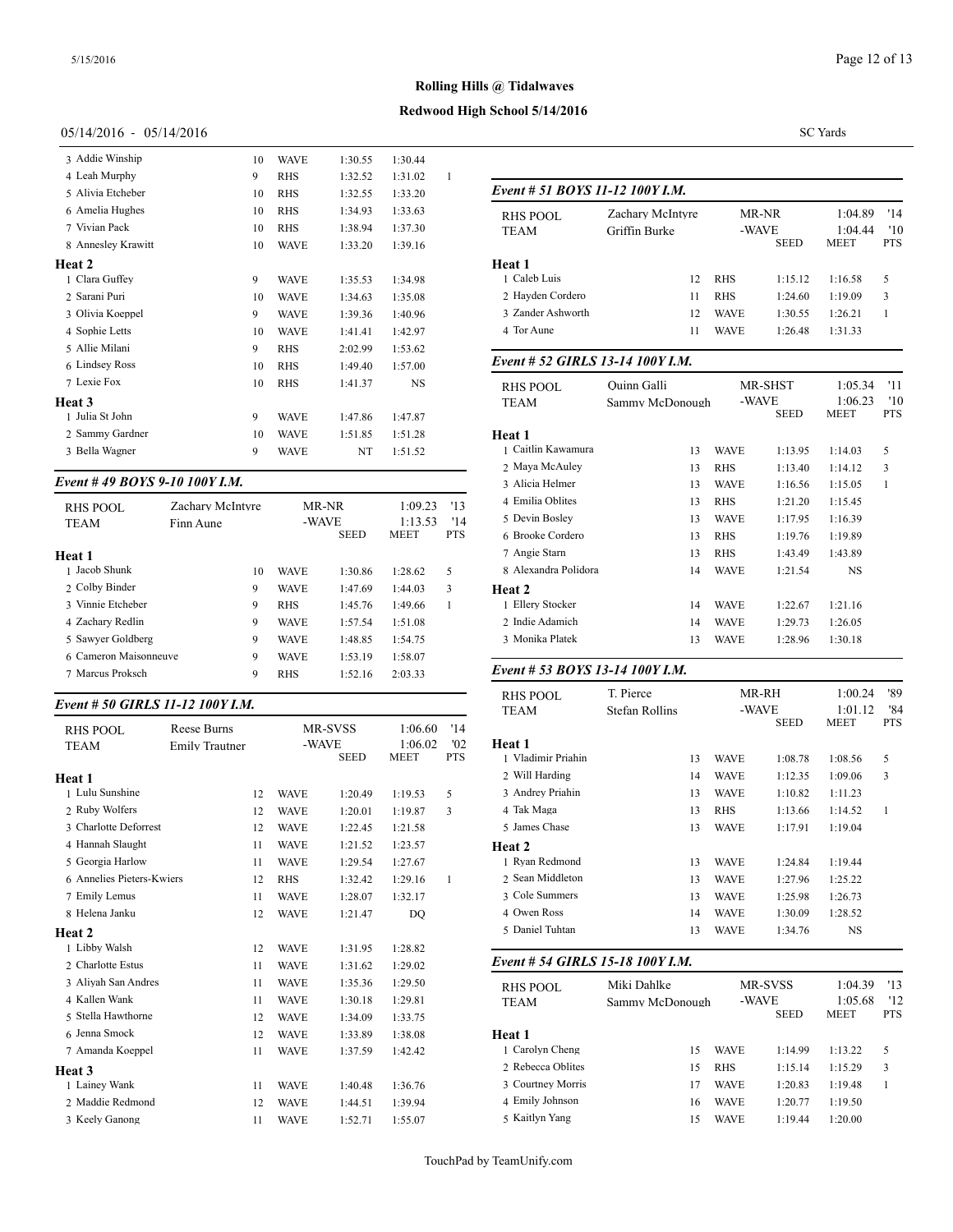# **Redwood High School 5/14/2016**

# 05/14/2016 - 05/14/2016

| 3 Addie Winship    | 10 | <b>WAVE</b> | 1:30.55 | 1:30.44   |   |                |
|--------------------|----|-------------|---------|-----------|---|----------------|
| 4 Leah Murphy      | 9  | <b>RHS</b>  | 1:32.52 | 1:31.02   | 1 |                |
| 5 Alivia Etcheber  | 10 | <b>RHS</b>  | 1:32.55 | 1:33.20   |   | Event $# 51$   |
| 6 Amelia Hughes    | 10 | <b>RHS</b>  | 1:34.93 | 1:33.63   |   | <b>RHS POO</b> |
| 7 Vivian Pack      | 10 | <b>RHS</b>  | 1:38.94 | 1:37.30   |   | <b>TEAM</b>    |
| 8 Annesley Krawitt | 10 | <b>WAVE</b> | 1:33.20 | 1:39.16   |   |                |
| <b>Heat 2</b>      |    |             |         |           |   | Heat 1         |
| 1 Clara Guffey     | 9  | <b>WAVE</b> | 1:35.53 | 1:34.98   |   | 1 Caleb Lui    |
| 2 Sarani Puri      | 10 | <b>WAVE</b> | 1:34.63 | 1:35.08   |   | 2 Hayden C     |
| 3 Olivia Koeppel   | 9  | <b>WAVE</b> | 1:39.36 | 1:40.96   |   | 3 Zander As    |
| 4 Sophie Letts     | 10 | <b>WAVE</b> | 1:41.41 | 1:42.97   |   | 4 Tor Aune     |
| 5 Allie Milani     | 9  | <b>RHS</b>  | 2:02.99 | 1:53.62   |   |                |
| 6 Lindsey Ross     | 10 | <b>RHS</b>  | 1:49.40 | 1:57.00   |   | Event $#52$    |
| 7 Lexie Fox        | 10 | <b>RHS</b>  | 1:41.37 | <b>NS</b> |   | <b>RHS POO</b> |
| <b>Heat 3</b>      |    |             |         |           |   | <b>TEAM</b>    |
| 1 Julia St John    | 9  | <b>WAVE</b> | 1:47.86 | 1:47.87   |   |                |
| 2 Sammy Gardner    | 10 | <b>WAVE</b> | 1:51.85 | 1:51.28   |   | Heat 1         |
| 3 Bella Wagner     | 9  | <b>WAVE</b> | NT      | 1:51.52   |   | 1 Caitlin Ka   |
|                    |    |             |         |           |   | $2$ May $M_2$  |

# *Event # 49 BOYS 9-10 100Y I.M.*

| RHS POOL              | Zachary McIntyre |             | MR-NR       |             | '13        | 4 Emilia Oblites  |
|-----------------------|------------------|-------------|-------------|-------------|------------|-------------------|
| <b>TEAM</b>           | Finn Aune        |             | -WAVE       | 1:13.53     | '14        | 5 Devin Bosley    |
|                       |                  |             | <b>SEED</b> | <b>MEET</b> | <b>PTS</b> | 6 Brooke Cordero  |
| Heat 1                |                  |             |             |             |            | 7 Angie Starn     |
| 1 Jacob Shunk         | 10               | <b>WAVE</b> | 1:30.86     | 1:28.62     | 5          | 8 Alexandra Polid |
| 2 Colby Binder        | 9                | <b>WAVE</b> | 1:47.69     | 1:44.03     | 3          | Heat 2            |
| 3 Vinnie Etcheber     | 9                | <b>RHS</b>  | 1:45.76     | 1:49.66     |            | 1 Ellery Stocker  |
| 4 Zachary Redlin      | 9                | <b>WAVE</b> | 1:57.54     | 1:51.08     |            | 2 Indie Adamich   |
| 5 Sawyer Goldberg     | 9                | <b>WAVE</b> | 1:48.85     | 1:54.75     |            | 3 Monika Platek   |
| 6 Cameron Maisonneuve | 9                | <b>WAVE</b> | 1:53.19     | 1:58.07     |            |                   |
| 7 Marcus Proksch      | 9                | <b>RHS</b>  | 1:52.16     | 2:03.33     |            | Event # 53 $BOY$  |
|                       |                  |             |             |             |            |                   |

# *Event # 50 GIRLS 11-12 100Y I.M.*

|                           |                       |             |                      |                        |                   | TEANI                        |
|---------------------------|-----------------------|-------------|----------------------|------------------------|-------------------|------------------------------|
| <b>RHS POOL</b>           | <b>Reese Burns</b>    |             | MR-SVSS              | 1:06.60                | '14               |                              |
| <b>TEAM</b>               | <b>Emily Trautner</b> |             | -WAVE<br><b>SEED</b> | 1:06.02<br><b>MEET</b> | '02<br><b>PTS</b> | Heat 1<br>1 Vladimir Priahir |
| Heat 1                    |                       |             |                      |                        |                   | 2 Will Harding               |
| 1 Lulu Sunshine           | 12                    | <b>WAVE</b> | 1:20.49              | 1:19.53                | 5                 | 3 Andrey Priahin             |
| 2 Ruby Wolfers            | 12                    | <b>WAVE</b> | 1:20.01              | 1:19.87                | 3                 | 4 Tak Maga                   |
| 3 Charlotte Deforrest     | 12                    | <b>WAVE</b> | 1:22.45              | 1:21.58                |                   | 5 James Chase                |
| 4 Hannah Slaught          | 11                    | <b>WAVE</b> | 1:21.52              | 1:23.57                |                   | Heat 2                       |
| 5 Georgia Harlow          | 11                    | <b>WAVE</b> | 1:29.54              | 1:27.67                |                   | 1 Ryan Redmond               |
| 6 Annelies Pieters-Kwiers | 12                    | <b>RHS</b>  | 1:32.42              | 1:29.16                | 1                 | 2 Sean Middleton             |
| 7 Emily Lemus             | 11                    | <b>WAVE</b> | 1:28.07              | 1:32.17                |                   | 3 Cole Summers               |
| 8 Helena Janku            | 12                    | <b>WAVE</b> | 1:21.47              | DO                     |                   | 4 Owen Ross                  |
| Heat 2                    |                       |             |                      |                        |                   | 5 Daniel Tuhtan              |
| 1 Libby Walsh             | 12                    | <b>WAVE</b> | 1:31.95              | 1:28.82                |                   |                              |
| 2 Charlotte Estus         | 11                    | <b>WAVE</b> | 1:31.62              | 1:29.02                |                   | Event # 54 GIRI              |
| 3 Aliyah San Andres       | 11                    | <b>WAVE</b> | 1:35.36              | 1:29.50                |                   | <b>RHS POOL</b>              |
| 4 Kallen Wank             | 11                    | <b>WAVE</b> | 1:30.18              | 1:29.81                |                   | <b>TEAM</b>                  |
| 5 Stella Hawthorne        | 12                    | <b>WAVE</b> | 1:34.09              | 1:33.75                |                   |                              |
| 6 Jenna Smock             | 12                    | <b>WAVE</b> | 1:33.89              | 1:38.08                |                   | Heat 1                       |
| 7 Amanda Koeppel          | 11                    | <b>WAVE</b> | 1:37.59              | 1:42.42                |                   | 1 Carolyn Cheng              |
| Heat 3                    |                       |             |                      |                        |                   | 2 Rebecca Oblites            |
| 1 Lainey Wank             | 11                    | <b>WAVE</b> | 1:40.48              | 1:36.76                |                   | 3 Courtney Morris            |
| 2 Maddie Redmond          | 12                    | <b>WAVE</b> | 1:44.51              | 1:39.94                |                   | 4 Emily Johnson              |
| 3 Keely Ganong            | 11                    | <b>WAVE</b> | 1:52.71              | 1:55.07                |                   | 5 Kaitlyn Yang               |

SC Yards

| Event # 51 BOYS 11-12 100Y I.M.    |                                   |                           |                               |                            |                          |
|------------------------------------|-----------------------------------|---------------------------|-------------------------------|----------------------------|--------------------------|
| <b>RHS POOL</b><br>TEAM            | Zachary McIntyre<br>Griffin Burke |                           | MR-NR<br>-WAVE<br><b>SEED</b> | 1:04.89<br>1:04.44<br>MEET | '14<br>'10<br><b>PTS</b> |
| <b>Heat 1</b>                      |                                   |                           |                               |                            |                          |
| 1 Caleb Luis                       | 12                                | <b>RHS</b>                | 1:15.12                       | 1:16.58                    | 5                        |
| 2 Hayden Cordero                   | 11                                | <b>RHS</b>                | 1:24.60                       | 1:19.09                    | 3                        |
| 3 Zander Ashworth                  | 12                                | <b>WAVE</b>               | 1:30.55                       | 1:26.21                    | 1                        |
| 4 Tor Aune                         | 11                                | <b>WAVE</b>               | 1:26.48                       | 1:31.33                    |                          |
| Event # 52 GIRLS 13-14 100Y I.M.   |                                   |                           |                               |                            |                          |
| <b>RHS POOL</b>                    | Ouinn Galli                       |                           | MR-SHST                       | 1:05.34                    | '11                      |
| TEAM                               | Sammy McDonough                   |                           | -WAVE<br><b>SEED</b>          | 1:06.23<br><b>MEET</b>     | '10<br><b>PTS</b>        |
| <b>Heat 1</b>                      |                                   |                           |                               |                            |                          |
| 1 Caitlin Kawamura                 | 13                                | <b>WAVE</b>               | 1:13.95                       | 1:14.03                    | 5                        |
| 2 Maya McAuley                     | 13                                | <b>RHS</b>                | 1:13.40                       | 1:14.12                    | 3                        |
| 3 Alicia Helmer                    | 13                                | <b>WAVE</b>               | 1:16.56                       | 1:15.05                    | 1                        |
| 4 Emilia Oblites                   | 13                                | <b>RHS</b>                | 1:21.20                       | 1:15.45                    |                          |
| 5 Devin Bosley<br>6 Brooke Cordero | 13                                | <b>WAVE</b>               | 1:17.95                       | 1:16.39                    |                          |
| 7 Angie Starn                      | 13                                | <b>RHS</b>                | 1:19.76                       | 1:19.89                    |                          |
| 8 Alexandra Polidora               | 13<br>14                          | <b>RHS</b><br><b>WAVE</b> | 1:43.49<br>1:21.54            | 1:43.89<br>NS              |                          |
| Heat 2                             |                                   |                           |                               |                            |                          |
| 1 Ellery Stocker                   | 14                                | <b>WAVE</b>               | 1:22.67                       | 1:21.16                    |                          |
| 2 Indie Adamich                    | 14                                | <b>WAVE</b>               | 1:29.73                       | 1:26.05                    |                          |
| 3 Monika Platek                    | 13                                | <b>WAVE</b>               | 1:28.96                       | 1:30.18                    |                          |
| Event # 53 BOYS 13-14 100Y I.M.    |                                   |                           |                               |                            |                          |
| <b>RHS POOL</b>                    | T. Pierce                         |                           | MR-RH                         | 1:00.24                    | '89                      |
| TEAM                               | Stefan Rollins                    |                           | -WAVE                         | 1:01.12                    | '84                      |
|                                    |                                   |                           | SEED                          | MEET                       | <b>PTS</b>               |
| <b>Heat 1</b>                      |                                   |                           |                               |                            |                          |
| 1 Vladimir Priahin                 | 13                                | <b>WAVE</b>               | 1:08.78                       | 1:08.56                    | 5                        |
| 2 Will Harding                     | 14                                | <b>WAVE</b>               | 1:12.35                       | 1:09.06                    | 3                        |
| 3 Andrey Priahin                   | 13                                | <b>WAVE</b>               | 1:10.82                       | 1:11.23                    |                          |
| 4 Tak Maga                         | 13                                | <b>RHS</b>                | 1:13.66                       | 1:14.52                    | 1                        |
| 5 James Chase                      | 13                                | <b>WAVE</b>               | 1:17.91                       | 1:19.04                    |                          |
| Heat 2                             |                                   |                           |                               |                            |                          |
| 1 Ryan Redmond                     | 13                                | <b>WAVE</b>               | 1:24.84                       | 1:19.44                    |                          |
| 2 Sean Middleton                   | 13                                | <b>WAVE</b>               | 1:27.96                       | 1:25.22                    |                          |
| 3 Cole Summers<br>4 Owen Ross      | 13                                | WAVE                      | 1:25.98                       | 1:26.73                    |                          |
| 5 Daniel Tuhtan                    | 14<br>13                          | WAVE<br><b>WAVE</b>       | 1:30.09<br>1:34.76            | 1:28.52<br>NS              |                          |
|                                    |                                   |                           |                               |                            |                          |
| Event # 54 GIRLS 15-18 100Y I.M.   |                                   |                           |                               |                            |                          |
| <b>RHS POOL</b>                    | Miki Dahlke                       |                           | MR-SVSS                       | 1:04.39                    | '13                      |
|                                    | Sammy McDonough                   |                           | -WAVE<br>SEED                 | 1:05.68<br>MEET            | '12<br>PTS               |
| TEAM                               |                                   |                           |                               |                            |                          |
| Heat 1                             |                                   |                           |                               |                            |                          |
| 1 Carolyn Cheng                    | 15                                | <b>WAVE</b>               | 1:14.99                       | 1:13.22                    | 5                        |
| 2 Rebecca Oblites                  | 15                                | RHS                       | 1:15.14                       | 1:15.29                    | 3                        |
| 3 Courtney Morris                  | 17                                | <b>WAVE</b>               | 1:20.83                       | 1:19.48                    | $\mathbf{1}$             |
| 4 Emily Johnson                    | 16                                | WAVE                      | 1:20.77                       | 1:19.50                    |                          |